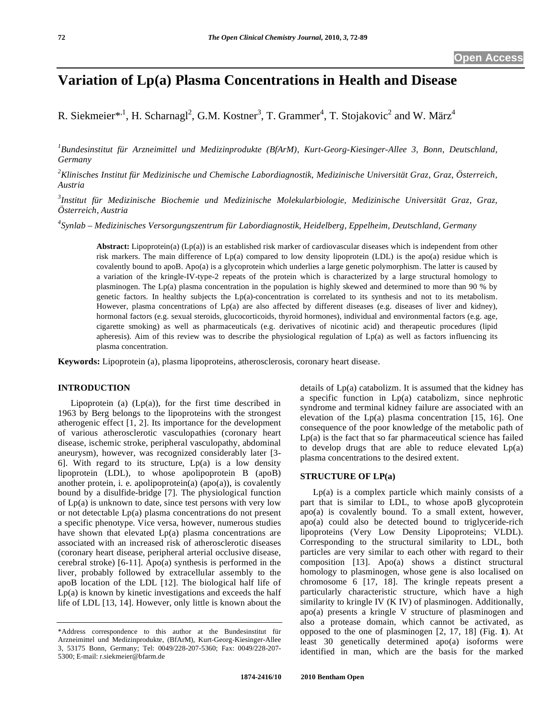# **Variation of Lp(a) Plasma Concentrations in Health and Disease**

R. Siekmeier\*<sup>,1</sup>, H. Scharnagl<sup>2</sup>, G.M. Kostner<sup>3</sup>, T. Grammer<sup>4</sup>, T. Stojakovic<sup>2</sup> and W. März<sup>4</sup>

*1 Bundesinstitut für Arzneimittel und Medizinprodukte (BfArM), Kurt-Georg-Kiesinger-Allee 3, Bonn, Deutschland, Germany* 

*2 Klinisches Institut für Medizinische und Chemische Labordiagnostik, Medizinische Universität Graz, Graz, Österreich, Austria* 

*3 Institut für Medizinische Biochemie und Medizinische Molekularbiologie, Medizinische Universität Graz, Graz, Österreich, Austria* 

*4 Synlab – Medizinisches Versorgungszentrum für Labordiagnostik, Heidelberg, Eppelheim, Deutschland, Germany* 

**Abstract:** Lipoprotein(a) (Lp(a)) is an established risk marker of cardiovascular diseases which is independent from other risk markers. The main difference of Lp(a) compared to low density lipoprotein (LDL) is the apo(a) residue which is covalently bound to apoB. Apo(a) is a glycoprotein which underlies a large genetic polymorphism. The latter is caused by a variation of the kringle-IV-type-2 repeats of the protein which is characterized by a large structural homology to plasminogen. The Lp(a) plasma concentration in the population is highly skewed and determined to more than 90 % by genetic factors. In healthy subjects the Lp(a)-concentration is correlated to its synthesis and not to its metabolism. However, plasma concentrations of Lp(a) are also affected by different diseases (e.g. diseases of liver and kidney), hormonal factors (e.g. sexual steroids, glucocorticoids, thyroid hormones), individual and environmental factors (e.g. age, cigarette smoking) as well as pharmaceuticals (e.g. derivatives of nicotinic acid) and therapeutic procedures (lipid apheresis). Aim of this review was to describe the physiological regulation of Lp(a) as well as factors influencing its plasma concentration.

**Keywords:** Lipoprotein (a), plasma lipoproteins, atherosclerosis, coronary heart disease.

# **INTRODUCTION**

Lipoprotein (a)  $(Lp(a))$ , for the first time described in 1963 by Berg belongs to the lipoproteins with the strongest atherogenic effect [1, 2]. Its importance for the development of various atherosclerotic vasculopathies (coronary heart disease, ischemic stroke, peripheral vasculopathy, abdominal aneurysm), however, was recognized considerably later [3- 6]. With regard to its structure,  $Lp(a)$  is a low density lipoprotein (LDL), to whose apolipoprotein B (apoB) another protein, i. e. apolipoprotein(a) (apo(a)), is covalently bound by a disulfide-bridge [7]. The physiological function of Lp(a) is unknown to date, since test persons with very low or not detectable Lp(a) plasma concentrations do not present a specific phenotype. Vice versa, however, numerous studies have shown that elevated Lp(a) plasma concentrations are associated with an increased risk of atherosclerotic diseases (coronary heart disease, peripheral arterial occlusive disease, cerebral stroke) [6-11]. Apo(a) synthesis is performed in the liver, probably followed by extracellular assembly to the apoB location of the LDL [12]. The biological half life of  $Lp(a)$  is known by kinetic investigations and exceeds the half life of LDL [13, 14]. However, only little is known about the

details of Lp(a) catabolizm. It is assumed that the kidney has a specific function in Lp(a) catabolizm, since nephrotic syndrome and terminal kidney failure are associated with an elevation of the Lp(a) plasma concentration [15, 16]. One consequence of the poor knowledge of the metabolic path of  $Lp(a)$  is the fact that so far pharmaceutical science has failed to develop drugs that are able to reduce elevated  $Lp(a)$ plasma concentrations to the desired extent.

## **STRUCTURE OF LP(a)**

 $Lp(a)$  is a complex particle which mainly consists of a part that is similar to LDL, to whose apoB glycoprotein  $a_{\text{apo}}(a)$  is covalently bound. To a small extent, however, apo(a) could also be detected bound to triglyceride-rich lipoproteins (Very Low Density Lipoproteins; VLDL). Corresponding to the structural similarity to LDL, both particles are very similar to each other with regard to their composition [13]. Apo(a) shows a distinct structural homology to plasminogen, whose gene is also localised on chromosome 6 [17, 18]. The kringle repeats present a particularly characteristic structure, which have a high similarity to kringle IV (K IV) of plasminogen. Additionally, apo(a) presents a kringle V structure of plasminogen and also a protease domain, which cannot be activated, as opposed to the one of plasminogen [2, 17, 18] (Fig. **1**). At least 30 genetically determined apo(a) isoforms were identified in man, which are the basis for the marked

<sup>\*</sup>Address correspondence to this author at the Bundesinstitut für Arzneimittel und Medizinprodukte, (BfArM), Kurt-Georg-Kiesinger-Allee 3, 53175 Bonn, Germany; Tel: 0049/228-207-5360; Fax: 0049/228-207- 5300; E-mail: r.siekmeier@bfarm.de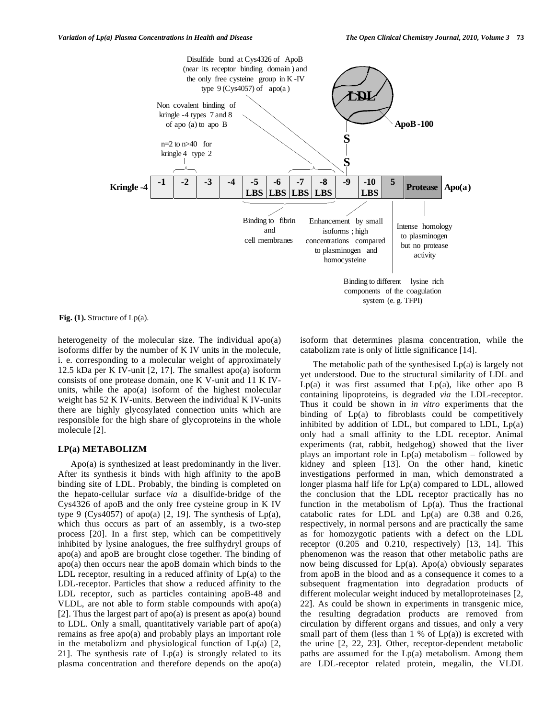

Fig. (1). Structure of Lp(a).

heterogeneity of the molecular size. The individual apo(a) isoforms differ by the number of K IV units in the molecule, i. e. corresponding to a molecular weight of approximately 12.5 kDa per K IV-unit [2, 17]. The smallest apo(a) isoform consists of one protease domain, one K V-unit and 11 K IVunits, while the apo(a) isoform of the highest molecular weight has 52 K IV-units. Between the individual K IV-units there are highly glycosylated connection units which are responsible for the high share of glycoproteins in the whole molecule [2].

#### **LP(a) METABOLIZM**

 Apo(a) is synthesized at least predominantly in the liver. After its synthesis it binds with high affinity to the apoB binding site of LDL. Probably, the binding is completed on the hepato-cellular surface *via* a disulfide-bridge of the Cys4326 of apoB and the only free cysteine group in K IV type 9 (Cys4057) of apo(a) [2, 19]. The synthesis of  $Lp(a)$ , which thus occurs as part of an assembly, is a two-step process [20]. In a first step, which can be competitively inhibited by lysine analogues, the free sulfhydryl groups of apo(a) and apoB are brought close together. The binding of apo(a) then occurs near the apoB domain which binds to the LDL receptor, resulting in a reduced affinity of  $Lp(a)$  to the LDL-receptor. Particles that show a reduced affinity to the LDL receptor, such as particles containing apoB-48 and VLDL, are not able to form stable compounds with apo(a) [2]. Thus the largest part of apo(a) is present as apo(a) bound to LDL. Only a small, quantitatively variable part of apo(a) remains as free apo(a) and probably plays an important role in the metabolizm and physiological function of  $Lp(a)$  [2, 21]. The synthesis rate of  $Lp(a)$  is strongly related to its plasma concentration and therefore depends on the apo(a)

isoform that determines plasma concentration, while the catabolizm rate is only of little significance [14].

 The metabolic path of the synthesised Lp(a) is largely not yet understood. Due to the structural similarity of LDL and  $Lp(a)$  it was first assumed that  $Lp(a)$ , like other apo B containing lipoproteins, is degraded *via* the LDL-receptor. Thus it could be shown in *in vitro* experiments that the binding of Lp(a) to fibroblasts could be competitively inhibited by addition of LDL, but compared to LDL,  $Lp(a)$ only had a small affinity to the LDL receptor. Animal experiments (rat, rabbit, hedgehog) showed that the liver plays an important role in  $Lp(a)$  metabolism – followed by kidney and spleen [13]. On the other hand, kinetic investigations performed in man, which demonstrated a longer plasma half life for Lp(a) compared to LDL, allowed the conclusion that the LDL receptor practically has no function in the metabolism of  $Lp(a)$ . Thus the fractional catabolic rates for LDL and Lp(a) are 0.38 and 0.26, respectively, in normal persons and are practically the same as for homozygotic patients with a defect on the LDL receptor (0.205 and 0.210, respectively) [13, 14]. This phenomenon was the reason that other metabolic paths are now being discussed for Lp(a). Apo(a) obviously separates from apoB in the blood and as a consequence it comes to a subsequent fragmentation into degradation products of different molecular weight induced by metalloproteinases [2, 22]. As could be shown in experiments in transgenic mice, the resulting degradation products are removed from circulation by different organs and tissues, and only a very small part of them (less than  $1\%$  of  $Lp(a)$ ) is excreted with the urine [2, 22, 23]. Other, receptor-dependent metabolic paths are assumed for the Lp(a) metabolism. Among them are LDL-receptor related protein, megalin, the VLDL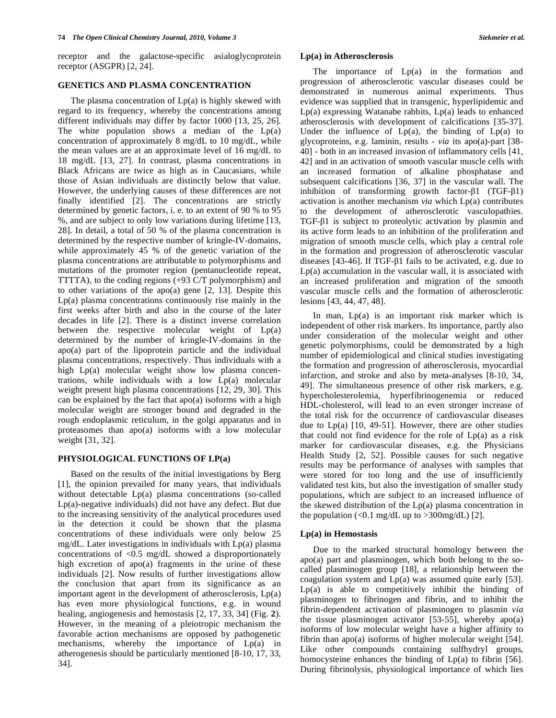receptor and the galactose-specific asialoglycoprotein receptor (ASGPR) [2, 24].

#### **GENETICS AND PLASMA CONCENTRATION**

The plasma concentration of  $Lp(a)$  is highly skewed with regard to its frequency, whereby the concentrations among different individuals may differ by factor 1000 [13, 25, 26]. The white population shows a median of the  $Lp(a)$ concentration of approximately 8 mg/dL to 10 mg/dL, while the mean values are at an approximate level of 16 mg/dL to 18 mg/dL [13, 27]. In contrast, plasma concentrations in Black Africans are twice as high as in Caucasians, while those of Asian individuals are distinctly below that value. However, the underlying causes of these differences are not finally identified [2]. The concentrations are strictly determined by genetic factors, i. e. to an extent of 90 % to 95 %, and are subject to only low variations during lifetime [13, 28]. In detail, a total of 50 % of the plasma concentration is determined by the respective number of kringle-IV-domains, while approximately 45 % of the genetic variation of the plasma concentrations are attributable to polymorphisms and mutations of the promoter region (pentanucleotide repeat, TTTTA), to the coding regions (+93 C/T polymorphism) and to other variations of the apo(a) gene [2, 13]. Despite this Lp(a) plasma concentrations continuously rise mainly in the first weeks after birth and also in the course of the later decades in life [2]. There is a distinct inverse correlation between the respective molecular weight of Lp(a) determined by the number of kringle-IV-domains in the apo(a) part of the lipoprotein particle and the individual plasma concentrations, respectively. Thus individuals with a high Lp(a) molecular weight show low plasma concentrations, while individuals with a low Lp(a) molecular weight present high plasma concentrations [12, 29, 30]. This can be explained by the fact that apo(a) isoforms with a high molecular weight are stronger bound and degraded in the rough endoplasmic reticulum, in the golgi apparatus and in proteasomes than apo(a) isoforms with a low molecular weight [31, 32].

# **PHYSIOLOGICAL FUNCTIONS OF LP(a)**

 Based on the results of the initial investigations by Berg [1], the opinion prevailed for many years, that individuals without detectable Lp(a) plasma concentrations (so-called Lp(a)-negative individuals) did not have any defect. But due to the increasing sensitivity of the analytical procedures used in the detection it could be shown that the plasma concentrations of these individuals were only below 25 mg/dL. Later investigations in individuals with Lp(a) plasma concentrations of  $\langle 0.5 \rangle$  mg/dL showed a disproportionately high excretion of apo(a) fragments in the urine of these individuals [2]. Now results of further investigations allow the conclusion that apart from its significance as an important agent in the development of atherosclerosis, Lp(a) has even more physiological functions, e.g. in wound healing, angiogenesis and hemostasis [2, 17, 33, 34] (Fig. **2**). However, in the meaning of a pleiotropic mechanism the favorable action mechanisms are opposed by pathogenetic mechanisms, whereby the importance of Lp(a) in atherogenesis should be particularly mentioned [8-10, 17, 33, 34].

#### **Lp(a) in Atherosclerosis**

The importance of  $Lp(a)$  in the formation and progression of atherosclerotic vascular diseases could be demonstrated in numerous animal experiments. Thus evidence was supplied that in transgenic, hyperlipidemic and  $Lp(a)$  expressing Watanabe rabbits,  $Lp(a)$  leads to enhanced atherosclerosis with development of calcifications [35-37]. Under the influence of  $Lp(a)$ , the binding of  $Lp(a)$  to glycoproteins, e.g. laminin, results - *via* its apo(a)-part [38- 40] - both in an increased invasion of inflammatory cells [41, 42] and in an activation of smooth vascular muscle cells with an increased formation of alkaline phosphatase and subsequent calcifications [36, 37] in the vascular wall. The inhibition of transforming growth factor- $\beta$ 1 (TGF- $\beta$ 1) activation is another mechanism *via* which Lp(a) contributes to the development of atherosclerotic vasculopathies. TGF- $\beta$ 1 is subject to proteolytic activation by plasmin and its active form leads to an inhibition of the proliferation and migration of smooth muscle cells, which play a central role in the formation and progression of atherosclerotic vascular diseases  $[43-46]$ . If TGF- $\beta$ 1 fails to be activated, e.g. due to Lp(a) accumulation in the vascular wall, it is associated with an increased proliferation and migration of the smooth vascular muscle cells and the formation of atherosclerotic lesions [43, 44, 47, 48].

 In man, Lp(a) is an important risk marker which is independent of other risk markers. Its importance, partly also under consideration of the molecular weight and other genetic polymorphisms, could be demonstrated by a high number of epidemiological and clinical studies investigating the formation and progression of atherosclerosis, myocardial infarction, and stroke and also by meta-analyses [8-10, 34, 49]. The simultaneous presence of other risk markers, e.g. hypercholesterolemia, hyperfibrinogenemia or reduced HDL-cholesterol, will lead to an even stronger increase of the total risk for the occurrence of cardiovascular diseases due to  $Lp(a)$  [10, 49-51]. However, there are other studies that could not find evidence for the role of Lp(a) as a risk marker for cardiovascular diseases, e.g. the Physicians Health Study [2, 52]. Possible causes for such negative results may be performance of analyses with samples that were stored for too long and the use of insufficiently validated test kits, but also the investigation of smaller study populations, which are subject to an increased influence of the skewed distribution of the Lp(a) plasma concentration in the population  $\langle 0.1 \text{ mg/dL} \rangle$  to  $>300 \text{ mg/dL}$  [2].

# **Lp(a) in Hemostasis**

 Due to the marked structural homology between the apo(a) part and plasminogen, which both belong to the socalled plasminogen group [18], a relationship between the coagulation system and Lp(a) was assumed quite early [53]. Lp(a) is able to competitively inhibit the binding of plasminogen to fibrinogen and fibrin, and to inhibit the fibrin-dependent activation of plasminogen to plasmin *via*  the tissue plasminogen activator [53-55], whereby apo(a) isoforms of low molecular weight have a higher affinity to fibrin than apo(a) isoforms of higher molecular weight [54]. Like other compounds containing sulfhydryl groups, homocysteine enhances the binding of  $Lp(a)$  to fibrin [56]. During fibrinolysis, physiological importance of which lies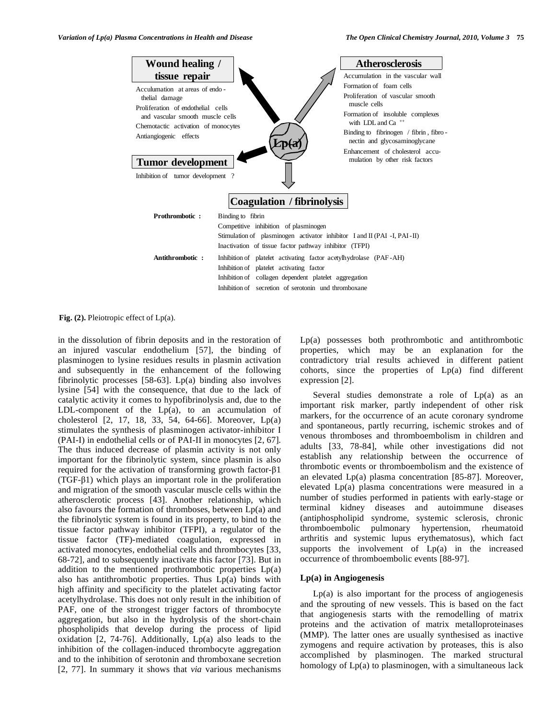

**Fig. (2).** Pleiotropic effect of Lp(a).

in the dissolution of fibrin deposits and in the restoration of an injured vascular endothelium [57], the binding of plasminogen to lysine residues results in plasmin activation and subsequently in the enhancement of the following fibrinolytic processes [58-63]. Lp(a) binding also involves lysine [54] with the consequence, that due to the lack of catalytic activity it comes to hypofibrinolysis and, due to the LDL-component of the  $Lp(a)$ , to an accumulation of cholesterol [2, 17, 18, 33, 54, 64-66]. Moreover, Lp(a) stimulates the synthesis of plasminogen activator-inhibitor I (PAI-I) in endothelial cells or of PAI-II in monocytes [2, 67]. The thus induced decrease of plasmin activity is not only important for the fibrinolytic system, since plasmin is also required for the activation of transforming growth factor- $\beta$ 1  $(TGF- $\beta$ 1) which plays an important role in the proliferation$ and migration of the smooth vascular muscle cells within the atherosclerotic process [43]. Another relationship, which also favours the formation of thromboses, between Lp(a) and the fibrinolytic system is found in its property, to bind to the tissue factor pathway inhibitor (TFPI), a regulator of the tissue factor (TF)-mediated coagulation, expressed in activated monocytes, endothelial cells and thrombocytes [33, 68-72], and to subsequently inactivate this factor [73]. But in addition to the mentioned prothrombotic properties  $Lp(a)$ also has antithrombotic properties. Thus Lp(a) binds with high affinity and specificity to the platelet activating factor acetylhydrolase. This does not only result in the inhibition of PAF, one of the strongest trigger factors of thrombocyte aggregation, but also in the hydrolysis of the short-chain phospholipids that develop during the process of lipid oxidation [2, 74-76]. Additionally, Lp(a) also leads to the inhibition of the collagen-induced thrombocyte aggregation and to the inhibition of serotonin and thromboxane secretion [2, 77]. In summary it shows that *via* various mechanisms

Lp(a) possesses both prothrombotic and antithrombotic properties, which may be an explanation for the contradictory trial results achieved in different patient cohorts, since the properties of  $Lp(a)$  find different expression [2].

Several studies demonstrate a role of  $Lp(a)$  as an important risk marker, partly independent of other risk markers, for the occurrence of an acute coronary syndrome and spontaneous, partly recurring, ischemic strokes and of venous thromboses and thromboembolism in children and adults [33, 78-84], while other investigations did not establish any relationship between the occurrence of thrombotic events or thromboembolism and the existence of an elevated Lp(a) plasma concentration [85-87]. Moreover, elevated Lp(a) plasma concentrations were measured in a number of studies performed in patients with early-stage or terminal kidney diseases and autoimmune diseases (antiphospholipid syndrome, systemic sclerosis, chronic thromboembolic pulmonary hypertension, rheumatoid arthritis and systemic lupus erythematosus), which fact supports the involvement of Lp(a) in the increased occurrence of thromboembolic events [88-97].

## **Lp(a) in Angiogenesis**

 $Lp(a)$  is also important for the process of angiogenesis and the sprouting of new vessels. This is based on the fact that angiogenesis starts with the remodelling of matrix proteins and the activation of matrix metalloproteinases (MMP). The latter ones are usually synthesised as inactive zymogens and require activation by proteases, this is also accomplished by plasminogen. The marked structural homology of Lp(a) to plasminogen, with a simultaneous lack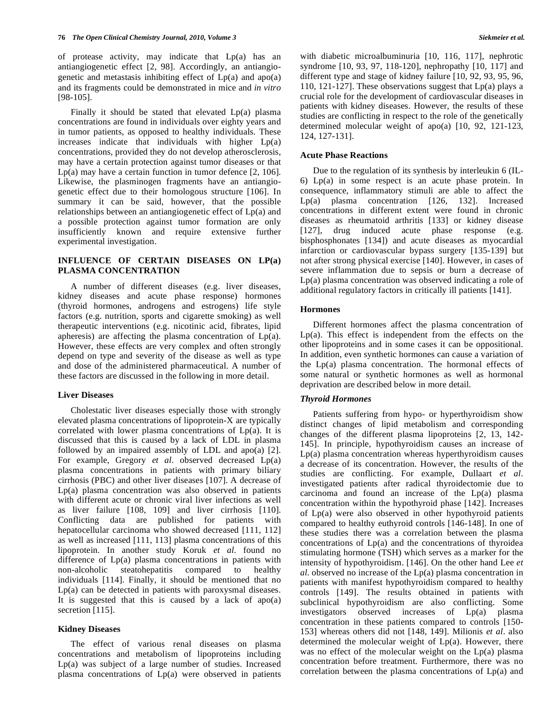of protease activity, may indicate that  $Lp(a)$  has an antiangiogenetic effect [2, 98]. Accordingly, an antiangiogenetic and metastasis inhibiting effect of  $Lp(a)$  and apo $(a)$ and its fragments could be demonstrated in mice and *in vitro* [98-105].

 Finally it should be stated that elevated Lp(a) plasma concentrations are found in individuals over eighty years and in tumor patients, as opposed to healthy individuals. These increases indicate that individuals with higher Lp(a) concentrations, provided they do not develop atherosclerosis, may have a certain protection against tumor diseases or that Lp(a) may have a certain function in tumor defence [2, 106]. Likewise, the plasminogen fragments have an antiangiogenetic effect due to their homologous structure [106]. In summary it can be said, however, that the possible relationships between an antiangiogenetic effect of Lp(a) and a possible protection against tumor formation are only insufficiently known and require extensive further experimental investigation.

# **INFLUENCE OF CERTAIN DISEASES ON LP(a) PLASMA CONCENTRATION**

 A number of different diseases (e.g. liver diseases, kidney diseases and acute phase response) hormones (thyroid hormones, androgens and estrogens) life style factors (e.g. nutrition, sports and cigarette smoking) as well therapeutic interventions (e.g. nicotinic acid, fibrates, lipid apheresis) are affecting the plasma concentration of Lp(a). However, these effects are very complex and often strongly depend on type and severity of the disease as well as type and dose of the administered pharmaceutical. A number of these factors are discussed in the following in more detail.

#### **Liver Diseases**

 Cholestatic liver diseases especially those with strongly elevated plasma concentrations of lipoprotein-X are typically correlated with lower plasma concentrations of Lp(a). It is discussed that this is caused by a lack of LDL in plasma followed by an impaired assembly of LDL and apo(a) [2]. For example, Gregory *et al*. observed decreased Lp(a) plasma concentrations in patients with primary biliary cirrhosis (PBC) and other liver diseases [107]. A decrease of Lp(a) plasma concentration was also observed in patients with different acute or chronic viral liver infections as well as liver failure [108, 109] and liver cirrhosis [110]. Conflicting data are published for patients with hepatocellular carcinoma who showed decreased [111, 112] as well as increased [111, 113] plasma concentrations of this lipoprotein. In another study Koruk *et al*. found no difference of Lp(a) plasma concentrations in patients with non-alcoholic steatohepatitis compared to healthy individuals [114]. Finally, it should be mentioned that no Lp(a) can be detected in patients with paroxysmal diseases. It is suggested that this is caused by a lack of  $apo(a)$ secretion [115].

#### **Kidney Diseases**

 The effect of various renal diseases on plasma concentrations and metabolism of lipoproteins including Lp(a) was subject of a large number of studies. Increased plasma concentrations of Lp(a) were observed in patients with diabetic microalbuminuria [10, 116, 117], nephrotic syndrome [10, 93, 97, 118-120], nephropathy [10, 117] and different type and stage of kidney failure [10, 92, 93, 95, 96, 110, 121-127]. These observations suggest that Lp(a) plays a crucial role for the development of cardiovascular diseases in patients with kidney diseases. However, the results of these studies are conflicting in respect to the role of the genetically determined molecular weight of apo(a) [10, 92, 121-123, 124, 127-131].

#### **Acute Phase Reactions**

 Due to the regulation of its synthesis by interleukin 6 (IL-6) Lp(a) in some respect is an acute phase protein. In consequence, inflammatory stimuli are able to affect the Lp(a) plasma concentration [126, 132]. Increased concentrations in different extent were found in chronic diseases as rheumatoid arthritis [133] or kidney disease [127], drug induced acute phase response (e.g. bisphosphonates [134]) and acute diseases as myocardial infarction or cardiovascular bypass surgery [135-139] but not after strong physical exercise [140]. However, in cases of severe inflammation due to sepsis or burn a decrease of Lp(a) plasma concentration was observed indicating a role of additional regulatory factors in critically ill patients [141].

#### **Hormones**

 Different hormones affect the plasma concentration of  $Lp(a)$ . This effect is independent from the effects on the other lipoproteins and in some cases it can be oppositional. In addition, even synthetic hormones can cause a variation of the Lp(a) plasma concentration. The hormonal effects of some natural or synthetic hormones as well as hormonal deprivation are described below in more detail.

#### *Thyroid Hormones*

 Patients suffering from hypo- or hyperthyroidism show distinct changes of lipid metabolism and corresponding changes of the different plasma lipoproteins [2, 13, 142- 145]. In principle, hypothyroidism causes an increase of Lp(a) plasma concentration whereas hyperthyroidism causes a decrease of its concentration. However, the results of the studies are conflicting. For example, Dullaart *et al*. investigated patients after radical thyroidectomie due to carcinoma and found an increase of the Lp(a) plasma concentration within the hypothyroid phase [142]. Increases of Lp(a) were also observed in other hypothyroid patients compared to healthy euthyroid controls [146-148]. In one of these studies there was a correlation between the plasma concentrations of Lp(a) and the concentrations of thyroidea stimulating hormone (TSH) which serves as a marker for the intensity of hypothyroidism. [146]. On the other hand Lee *et al*. observed no increase of the Lp(a) plasma concentration in patients with manifest hypothyroidism compared to healthy controls [149]. The results obtained in patients with subclinical hypothyroidism are also conflicting. Some investigators observed increases of Lp(a) plasma concentration in these patients compared to controls [150- 153] whereas others did not [148, 149]. Milionis *et al*. also determined the molecular weight of Lp(a). However, there was no effect of the molecular weight on the Lp(a) plasma concentration before treatment. Furthermore, there was no correlation between the plasma concentrations of Lp(a) and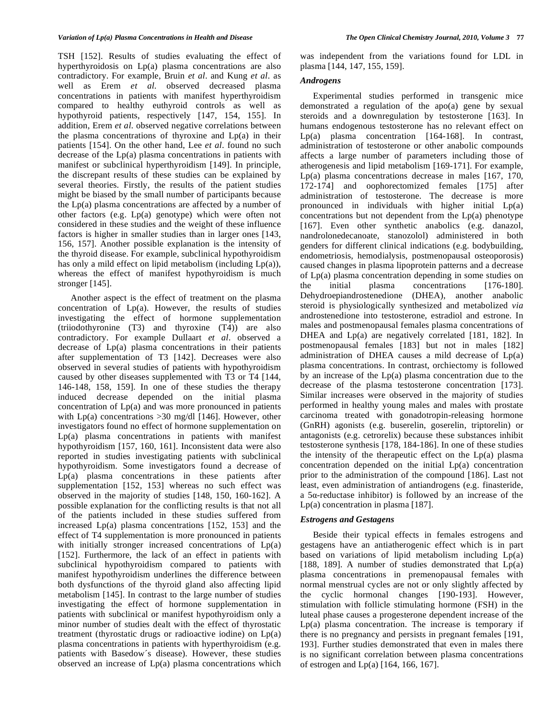TSH [152]. Results of studies evaluating the effect of hyperthyroidosis on Lp(a) plasma concentrations are also contradictory. For example, Bruin *et al*. and Kung *et al*. as well as Erem *et al*. observed decreased plasma concentrations in patients with manifest hyperthyroidism compared to healthy euthyroid controls as well as hypothyroid patients, respectively [147, 154, 155]. In addition, Erem *et al*. observed negative correlations between the plasma concentrations of thyroxine and  $Lp(a)$  in their patients [154]. On the other hand, Lee *et al*. found no such decrease of the Lp(a) plasma concentrations in patients with manifest or subclinical hyperthyroidism [149]. In principle, the discrepant results of these studies can be explained by several theories. Firstly, the results of the patient studies might be biased by the small number of participants because the  $Lp(a)$  plasma concentrations are affected by a number of other factors (e.g. Lp(a) genotype) which were often not considered in these studies and the weight of these influence factors is higher in smaller studies than in larger ones [143, 156, 157]. Another possible explanation is the intensity of the thyroid disease. For example, subclinical hypothyroidism has only a mild effect on lipid metabolism (including Lp(a)), whereas the effect of manifest hypothyroidism is much stronger [145].

 Another aspect is the effect of treatment on the plasma concentration of Lp(a). However, the results of studies investigating the effect of hormone supplementation (triiodothyronine (T3) and thyroxine (T4)) are also contradictory. For example Dullaart *et al*. observed a decrease of Lp(a) plasma concentrations in their patients after supplementation of T3 [142]. Decreases were also observed in several studies of patients with hypothyroidism caused by other diseases supplemented with T3 or T4 [144, 146-148, 158, 159]. In one of these studies the therapy induced decrease depended on the initial plasma concentration of Lp(a) and was more pronounced in patients with  $Lp(a)$  concentrations  $>30$  mg/dl [146]. However, other investigators found no effect of hormone supplementation on Lp(a) plasma concentrations in patients with manifest hypothyroidism [157, 160, 161]. Inconsistent data were also reported in studies investigating patients with subclinical hypothyroidism. Some investigators found a decrease of Lp(a) plasma concentrations in these patients after supplementation [152, 153] whereas no such effect was observed in the majority of studies [148, 150, 160-162]. A possible explanation for the conflicting results is that not all of the patients included in these studies suffered from increased Lp(a) plasma concentrations [152, 153] and the effect of T4 supplementation is more pronounced in patients with initially stronger increased concentrations of  $Lp(a)$ [152]. Furthermore, the lack of an effect in patients with subclinical hypothyroidism compared to patients with manifest hypothyroidism underlines the difference between both dysfunctions of the thyroid gland also affecting lipid metabolism [145]. In contrast to the large number of studies investigating the effect of hormone supplementation in patients with subclinical or manifest hypothyroidism only a minor number of studies dealt with the effect of thyrostatic treatment (thyrostatic drugs or radioactive iodine) on Lp(a) plasma concentrations in patients with hyperthyroidism (e.g. patients with Basedow´s disease). However, these studies observed an increase of Lp(a) plasma concentrations which

was independent from the variations found for LDL in plasma [144, 147, 155, 159].

#### *Androgens*

 Experimental studies performed in transgenic mice demonstrated a regulation of the apo(a) gene by sexual steroids and a downregulation by testosterone [163]. In humans endogenous testosterone has no relevant effect on Lp(a) plasma concentration [164-168]. In contrast, administration of testosterone or other anabolic compounds affects a large number of parameters including those of atherogenesis and lipid metabolism [169-171]. For example, Lp(a) plasma concentrations decrease in males [167, 170, 172-174] and oophorectomized females [175] after administration of testosterone. The decrease is more pronounced in individuals with higher initial Lp(a) concentrations but not dependent from the Lp(a) phenotype [167]. Even other synthetic anabolics (e.g. danazol, nandrolonedecanoate, stanozolol) administered in both genders for different clinical indications (e.g. bodybuilding, endometriosis, hemodialysis, postmenopausal osteoporosis) caused changes in plasma lipoprotein patterns and a decrease of Lp(a) plasma concentration depending in some studies on the initial plasma concentrations  $[176-180]$ . the initial plasma concentrations [176-180]. Dehydroepiandrostenedione (DHEA), another anabolic steroid is physiologically synthesized and metabolized *via*  androstenedione into testosterone, estradiol and estrone. In males and postmenopausal females plasma concentrations of DHEA and Lp(a) are negatively correlated [181, 182]. In postmenopausal females [183] but not in males [182] administration of DHEA causes a mild decrease of Lp(a) plasma concentrations. In contrast, orchiectomy is followed by an increase of the Lp(a) plasma concentration due to the decrease of the plasma testosterone concentration [173]. Similar increases were observed in the majority of studies performed in healthy young males and males with prostate carcinoma treated with gonadotropin-releasing hormone (GnRH) agonists (e.g. buserelin, goserelin, triptorelin) or antagonists (e.g. cetrorelix) because these substances inhibit testosterone synthesis [178, 184-186]. In one of these studies the intensity of the therapeutic effect on the Lp(a) plasma concentration depended on the initial Lp(a) concentration prior to the administration of the compound [186]. Last not least, even administration of antiandrogens (e.g. finasteride, a  $5\alpha$ -reductase inhibitor) is followed by an increase of the Lp(a) concentration in plasma [187].

### *Estrogens and Gestagens*

 Beside their typical effects in females estrogens and gestagens have an antiatherogenic effect which is in part based on variations of lipid metabolism including  $Lp(a)$ [188, 189]. A number of studies demonstrated that  $Lp(a)$ plasma concentrations in premenopausal females with normal menstrual cycles are not or only slightly affected by the cyclic hormonal changes [190-193]. However, stimulation with follicle stimulating hormone (FSH) in the luteal phase causes a progesterone dependent increase of the Lp(a) plasma concentration. The increase is temporary if there is no pregnancy and persists in pregnant females [191, 193]. Further studies demonstrated that even in males there is no significant correlation between plasma concentrations of estrogen and Lp(a) [164, 166, 167].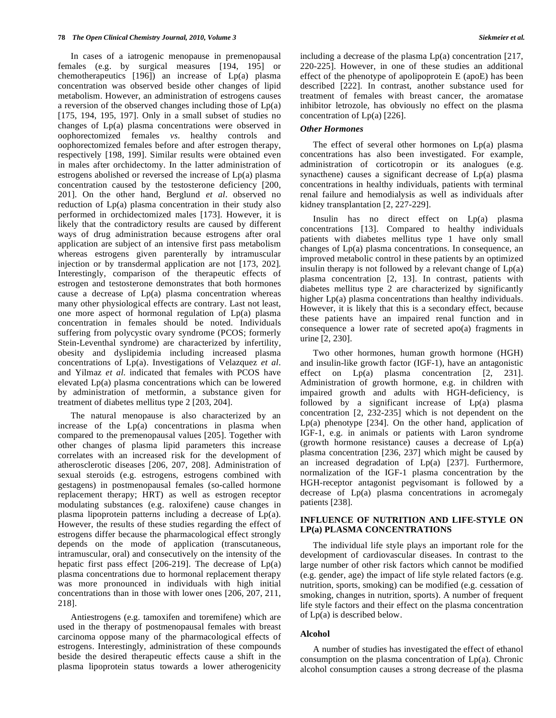In cases of a iatrogenic menopause in premenopausal females (e.g. by surgical measures [194, 195] or chemotherapeutics [196]) an increase of Lp(a) plasma concentration was observed beside other changes of lipid metabolism. However, an administration of estrogens causes a reversion of the observed changes including those of Lp(a) [175, 194, 195, 197]. Only in a small subset of studies no changes of Lp(a) plasma concentrations were observed in oophorectomized females *vs*. healthy controls and oophorectomized females before and after estrogen therapy, respectively [198, 199]. Similar results were obtained even in males after orchidectomy. In the latter administration of estrogens abolished or reversed the increase of Lp(a) plasma concentration caused by the testosterone deficiency [200, 201]. On the other hand, Berglund *et al*. observed no reduction of Lp(a) plasma concentration in their study also performed in orchidectomized males [173]. However, it is likely that the contradictory results are caused by different ways of drug administration because estrogens after oral application are subject of an intensive first pass metabolism whereas estrogens given parenterally by intramuscular injection or by transdermal application are not [173, 202]. Interestingly, comparison of the therapeutic effects of estrogen and testosterone demonstrates that both hormones cause a decrease of  $Lp(a)$  plasma concentration whereas many other physiological effects are contrary. Last not least, one more aspect of hormonal regulation of Lp(a) plasma concentration in females should be noted. Individuals suffering from polycystic ovary syndrome (PCOS; formerly Stein-Leventhal syndrome) are characterized by infertility, obesity and dyslipidemia including increased plasma concentrations of Lp(a). Investigations of Velazquez *et al*. and Yilmaz *et al*. indicated that females with PCOS have elevated Lp(a) plasma concentrations which can be lowered by administration of metformin, a substance given for treatment of diabetes mellitus type 2 [203, 204].

 The natural menopause is also characterized by an increase of the  $Lp(a)$  concentrations in plasma when compared to the premenopausal values [205]. Together with other changes of plasma lipid parameters this increase correlates with an increased risk for the development of atherosclerotic diseases [206, 207, 208]. Administration of sexual steroids (e.g. estrogens, estrogens combined with gestagens) in postmenopausal females (so-called hormone replacement therapy; HRT) as well as estrogen receptor modulating substances (e.g. raloxifene) cause changes in plasma lipoprotein patterns including a decrease of Lp(a). However, the results of these studies regarding the effect of estrogens differ because the pharmacological effect strongly depends on the mode of application (transcutaneous, intramuscular, oral) and consecutively on the intensity of the hepatic first pass effect [206-219]. The decrease of Lp(a) plasma concentrations due to hormonal replacement therapy was more pronounced in individuals with high initial concentrations than in those with lower ones [206, 207, 211, 218].

 Antiestrogens (e.g. tamoxifen and toremifene) which are used in the therapy of postmenopausal females with breast carcinoma oppose many of the pharmacological effects of estrogens. Interestingly, administration of these compounds beside the desired therapeutic effects cause a shift in the plasma lipoprotein status towards a lower atherogenicity

including a decrease of the plasma  $Lp(a)$  concentration [217, 220-225]. However, in one of these studies an additional effect of the phenotype of apolipoprotein E (apoE) has been described [222]. In contrast, another substance used for treatment of females with breast cancer, the aromatase inhibitor letrozole, has obviously no effect on the plasma concentration of  $Lp(a)$  [226].

#### *Other Hormones*

 The effect of several other hormones on Lp(a) plasma concentrations has also been investigated. For example, administration of corticotropin or its analogues (e.g. synacthene) causes a significant decrease of Lp(a) plasma concentrations in healthy individuals, patients with terminal renal failure and hemodialysis as well as individuals after kidney transplantation [2, 227-229].

 Insulin has no direct effect on Lp(a) plasma concentrations [13]. Compared to healthy individuals patients with diabetes mellitus type 1 have only small changes of Lp(a) plasma concentrations. In consequence, an improved metabolic control in these patients by an optimized insulin therapy is not followed by a relevant change of Lp(a) plasma concentration [2, 13]. In contrast, patients with diabetes mellitus type 2 are characterized by significantly higher Lp(a) plasma concentrations than healthy individuals. However, it is likely that this is a secondary effect, because these patients have an impaired renal function and in consequence a lower rate of secreted apo(a) fragments in urine [2, 230].

 Two other hormones, human growth hormone (HGH) and insulin-like growth factor (IGF-1), have an antagonistic effect on  $Lp(a)$  plasma concentration  $[2, 231]$ . Administration of growth hormone, e.g. in children with impaired growth and adults with HGH-deficiency, is followed by a significant increase of Lp(a) plasma concentration [2, 232-235] which is not dependent on the Lp(a) phenotype [234]. On the other hand, application of IGF-1, e.g. in animals or patients with Laron syndrome (growth hormone resistance) causes a decrease of Lp(a) plasma concentration [236, 237] which might be caused by an increased degradation of Lp(a) [237]. Furthermore, normalization of the IGF-1 plasma concentration by the HGH-receptor antagonist pegvisomant is followed by a decrease of Lp(a) plasma concentrations in acromegaly patients [238].

# **INFLUENCE OF NUTRITION AND LIFE-STYLE ON LP(a) PLASMA CONCENTRATIONS**

 The individual life style plays an important role for the development of cardiovascular diseases. In contrast to the large number of other risk factors which cannot be modified (e.g. gender, age) the impact of life style related factors (e.g. nutrition, sports, smoking) can be modified (e.g. cessation of smoking, changes in nutrition, sports). A number of frequent life style factors and their effect on the plasma concentration of Lp(a) is described below.

#### **Alcohol**

 A number of studies has investigated the effect of ethanol consumption on the plasma concentration of Lp(a). Chronic alcohol consumption causes a strong decrease of the plasma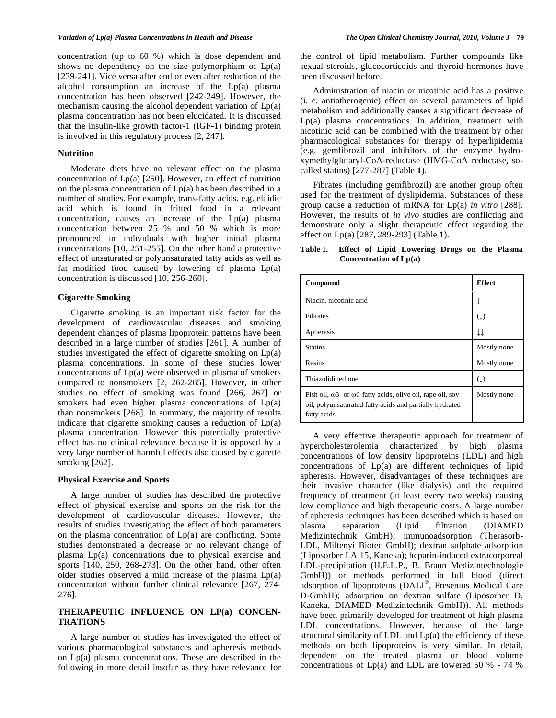concentration (up to 60 %) which is dose dependent and shows no dependency on the size polymorphism of  $Lp(a)$ [239-241]. Vice versa after end or even after reduction of the alcohol consumption an increase of the Lp(a) plasma concentration has been observed [242-249]. However, the mechanism causing the alcohol dependent variation of Lp(a) plasma concentration has not been elucidated. It is discussed that the insulin-like growth factor-1 (IGF-1) binding protein is involved in this regulatory process [2, 247].

#### **Nutrition**

 Moderate diets have no relevant effect on the plasma concentration of Lp(a) [250]. However, an effect of nutrition on the plasma concentration of Lp(a) has been described in a number of studies. For example, trans-fatty acids, e.g. elaidic acid which is found in fritted food in a relevant concentration, causes an increase of the Lp(a) plasma concentration between 25 % and 50 % which is more pronounced in individuals with higher initial plasma concentrations [10, 251-255]. On the other hand a protective effect of unsaturated or polyunsaturated fatty acids as well as fat modified food caused by lowering of plasma Lp(a) concentration is discussed [10, 256-260].

#### **Cigarette Smoking**

 Cigarette smoking is an important risk factor for the development of cardiovascular diseases and smoking dependent changes of plasma lipoprotein patterns have been described in a large number of studies [261]. A number of studies investigated the effect of cigarette smoking on Lp(a) plasma concentrations. In some of these studies lower concentrations of Lp(a) were observed in plasma of smokers compared to nonsmokers [2, 262-265]. However, in other studies no effect of smoking was found [266, 267] or smokers had even higher plasma concentrations of  $Lp(a)$ than nonsmokers [268]. In summary, the majority of results indicate that cigarette smoking causes a reduction of Lp(a) plasma concentration. However this potentially protective effect has no clinical relevance because it is opposed by a very large number of harmful effects also caused by cigarette smoking [262].

#### **Physical Exercise and Sports**

 A large number of studies has described the protective effect of physical exercise and sports on the risk for the development of cardiovascular diseases. However, the results of studies investigating the effect of both parameters on the plasma concentration of Lp(a) are conflicting. Some studies demonstrated a decrease or no relevant change of plasma Lp(a) concentrations due to physical exercise and sports [140, 250, 268-273]. On the other hand, other often older studies observed a mild increase of the plasma Lp(a) concentration without further clinical relevance [267, 274- 276].

#### **THERAPEUTIC INFLUENCE ON LP(a) CONCEN-TRATIONS**

 A large number of studies has investigated the effect of various pharmacological substances and apheresis methods on Lp(a) plasma concentrations. These are described in the following in more detail insofar as they have relevance for

the control of lipid metabolism. Further compounds like sexual steroids, glucocorticoids and thyroid hormones have been discussed before.

 Administration of niacin or nicotinic acid has a positive (i. e. antiatherogenic) effect on several parameters of lipid metabolism and additionally causes a significant decrease of Lp(a) plasma concentrations. In addition, treatment with nicotinic acid can be combined with the treatment by other pharmacological substances for therapy of hyperlipidemia (e.g. gemfibrozil and inhibitors of the enzyme hydroxymethylglutaryl-CoA-reductase (HMG-CoA reductase, socalled statins) [277-287] (Table **1**).

 Fibrates (including gemfibrozil) are another group often used for the treatment of dyslipidemia. Substances of these group cause a reduction of mRNA for Lp(a) *in vitro* [288]. However, the results of *in vivo* studies are conflicting and demonstrate only a slight therapeutic effect regarding the effect on Lp(a) [287, 289-293] (Table **1**).

**Table 1. Effect of Lipid Lowering Drugs on the Plasma Concentration of Lp(a)** 

| Compound                                                                                                                                            | <b>Effect</b> |
|-----------------------------------------------------------------------------------------------------------------------------------------------------|---------------|
| Niacin, nicotinic acid                                                                                                                              |               |
| <b>Fibrates</b>                                                                                                                                     | (1)           |
| Apheresis                                                                                                                                           | ↓↓            |
| <b>Statins</b>                                                                                                                                      | Mostly none   |
| Resins                                                                                                                                              | Mostly none   |
| Thiazolidinedione                                                                                                                                   | (1)           |
| Fish oil, $\omega$ 3- or $\omega$ 6-fatty acids, olive oil, rape oil, soy<br>oil, polyunsaturated fatty acids and partially hydrated<br>fatty acids | Mostly none   |

 A very effective therapeutic approach for treatment of hypercholesterolemia characterized by high plasma concentrations of low density lipoproteins (LDL) and high concentrations of Lp(a) are different techniques of lipid apheresis. However, disadvantages of these techniques are their invasive character (like dialysis) and the required frequency of treatment (at least every two weeks) causing low compliance and high therapeutic costs. A large number of apheresis techniques has been described which is based on plasma separation (Lipid filtration (DIAMED Medizintechnik GmbH); immunoadsorption (Therasorb-LDL, Miltenyi Biotec GmbH); dextran sulphate adsorption (Liposorber LA 15, Kaneka); heparin-induced extracorporeal LDL-precipitation (H.E.L.P., B. Braun Medizintechnologie GmbH)) or methods performed in full blood (direct adsorption of lipoproteins (DALI®, Fresenius Medical Care D-GmbH); adsorption on dextran sulfate (Liposorber D, Kaneka, DIAMED Medizintechnik GmbH)). All methods have been primarily developed for treatment of high plasma LDL concentrations. However, because of the large structural similarity of LDL and  $Lp(a)$  the efficiency of these methods on both lipoproteins is very similar. In detail, dependent on the treated plasma or blood volume concentrations of Lp(a) and LDL are lowered 50 % - 74 %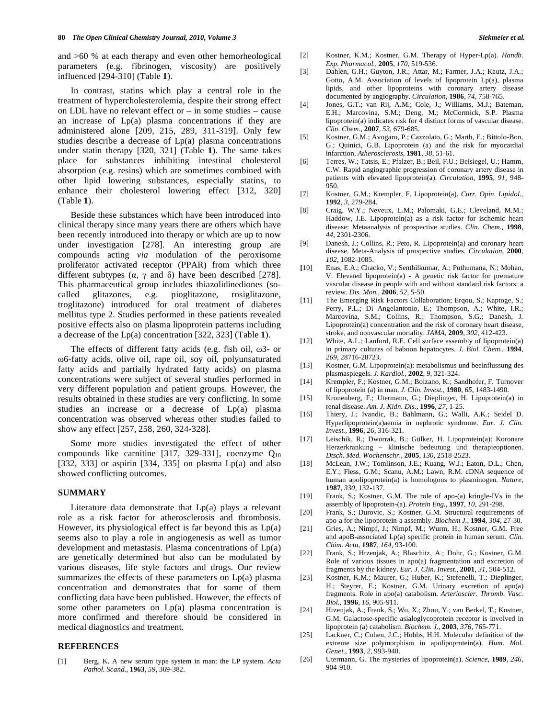and >60 % at each therapy and even other hemorheological parameters (e.g. fibrinogen, viscosity) are positively influenced [294-310] (Table **1**).

 In contrast, statins which play a central role in the treatment of hypercholesterolemia, despite their strong effect on LDL have no relevant effect or – in some studies – cause an increase of Lp(a) plasma concentrations if they are administered alone [209, 215, 289, 311-319]. Only few studies describe a decrease of Lp(a) plasma concentrations under statin therapy [320, 321] (Table **1**). The same takes place for substances inhibiting intestinal cholesterol absorption (e.g. resins) which are sometimes combined with other lipid lowering substances, especially statins, to enhance their cholesterol lowering effect [312, 320] (Table **1**).

 Beside these substances which have been introduced into clinical therapy since many years there are others which have been recently introduced into therapy or which are up to now under investigation [278]. An interesting group are compounds acting *via* modulation of the peroxisome proliferator activated receptor (PPAR) from which three different subtypes  $(\alpha, \gamma \text{ and } \delta)$  have been described [278]. This pharmaceutical group includes thiazolidinediones (socalled glitazones, e.g. pioglitazone, rosiglitazone, troglitazone) introduced for oral treatment of diabetes mellitus type 2. Studies performed in these patients revealed positive effects also on plasma lipoprotein patterns including a decrease of the Lp(a) concentration [322, 323] (Table **1**).

The effects of different fatty acids (e.g. fish oil,  $\omega$ 3- or 6-fatty acids, olive oil, rape oil, soy oil, polyunsaturated fatty acids and partially hydrated fatty acids) on plasma concentrations were subject of several studies performed in very different population and patient groups. However, the results obtained in these studies are very conflicting. In some studies an increase or a decrease of Lp(a) plasma concentration was observed whereas other studies failed to show any effect [257, 258, 260, 324-328].

 Some more studies investigated the effect of other compounds like carnitine [317, 329-331], coenzyme  $Q_{10}$ [332, 333] or aspirin [334, 335] on plasma  $Lp(a)$  and also showed conflicting outcomes.

#### **SUMMARY**

 Literature data demonstrate that Lp(a) plays a relevant role as a risk factor for atherosclerosis and thrombosis. However, its physiological effect is far beyond this as  $Lp(a)$ seems also to play a role in angiogenesis as well as tumor development and metastasis. Plasma concentrations of Lp(a) are genetically determined but also can be modulated by various diseases, life style factors and drugs. Our review summarizes the effects of these parameters on Lp(a) plasma concentration and demonstrates that for some of them conflicting data have been published. However, the effects of some other parameters on  $Lp(a)$  plasma concentration is more confirmed and therefore should be considered in medical diagnostics and treatment.

# **REFERENCES**

[1] Berg, K. A new serum type system in man: the LP system. *Acta Pathol. Scand.,* **1963**, *59*, 369-382.

- [2] Kostner, K.M.; Kostner, G.M. Therapy of Hyper-Lp(a). *Handb. Exp. Pharmacol.,* **2005**, *170*, 519-536.
- [3] Dahlen, G.H.; Guyton, J.R.; Attar, M.; Farmer, J.A.; Kautz, J.A.; Gotto, A.M. Association of levels of lipoprotein Lp(a), plasma lipids, and other lipoproteins with coronary artery disease documented by angiography. *Circulation,* **1986**, *74*, 758-765.
- [4] Jones, G.T.; van Rij, A.M.; Cole, J.; Williams, M.J.; Bateman, E.H.; Marcovina, S.M.; Deng, M.; McCormick, S.P. Plasma lipoprotein(a) indicates risk for 4 distinct forms of vascular disease. *Clin. Chem.,* **2007**, *53*, 679-685.
- [5] Kostner, G.M.; Avogaro, P.; Cazzolato, G.; Marth, E.; Bittolo-Bon, G.; Quinici, G.B. Lipoprotein (a) and the risk for myocardial infarction. *Atherosclerosis,* **1981**, *38*, 51-61.
- [6] Terres, W.; Tatsis, E.; Pfalzer, B.; Beil, F.U.; Beisiegel, U.; Hamm, C.W. Rapid angiographic progression of coronary artery disease in patients with elevated lipoprotein(a). *Circulation,* **1995**, *91*, 948- 950.
- [7] Kostner, G.M.; Krempler, F. Lipoprotein(a). *Curr. Opin. Lipidol.*, **1992**, *3*, 279-284.
- [8] Craig, W.Y.; Neveux, L.M.; Palomaki, G.E.; Cleveland, M.M.; Haddow, J.E. Lipoprotein(a) as a risk factor for ischemic heart disease: Metaanalysis of prospective studies. *Clin. Chem.,* **1998**, *44*, 2301-2306.
- [9] Danesh, J.; Collins, R.; Peto, R. Lipoprotein(a) and coronary heart disease. Meta-Analysis of prospective studies. *Circulation,* **2000**, *102*, 1082-1085.
- **[**10] Enas, E.A.; Chacko, V.; Senthilkumar, A.; Puthumana, N.; Mohan, V. Elevated lipoprotein(a) - A genetic risk factor for premature vascular disease in people with and without standard risk factors: a review. *Dis. Mon.,* **2006**, *52*, 5-50.
- [11] The Emerging Risk Factors Collaboration; Erqou, S.; Kaptoge, S.; Perry, P.L.; Di Angelantonio, E.; Thompson, A.; White, I.R.; Marcovina, S.M.; Collins, R.; Thompson, S.G.; Danesh, J. Lipoprotein(a) concentration and the risk of coronary heart disease, stroke, and nonvascular mortality. *JAMA*, **2009**, *302*, 412-423.
- [12] White, A.L.; Lanford, R.E. Cell surface assembly of lipoprotein(a) in primary cultures of baboon hepatocytes. *J. Biol. Chem.,* **1994**, *269,* 28716-28723.
- [13] Kostner, G.M. Lipoprotein(a): metabolismus und beeinflussung des plasmaspiegels. *J. Kardiol.,* **2002**, *9*, 321-324.
- [14] Krempler, F.; Kostner, G.M.; Bolzano, K.; Sandhofer, F. Turnover of lipoprotein (a) in man. *J. Clin. Invest.,* **1980**, *65,* 1483-1490.
- [15] Kronenberg, F.; Utermann, G.; Dieplinger, H. Lipoprotein(a) in renal disease. *Am. J. Kidn. Dis.,* **1996**, *27,* 1-25.
- [16] Thiery, J.; Ivandic, B.; Bahlmann, G.; Walli, A.K.; Seidel D. Hyperlipoprotein(a)aemia in nephrotic syndrome. *Eur. J. Clin. Invest.,* **1996**, *26*, 316-321.
- [17] Leischik, R.; Dworrak, B.; Gülker, H. Lipoprotein(a): Koronare Herzerkrankung – klinische bedeutung und therapieoptionen. *Dtsch. Med. Wochenschr.,* **2005**, *130*, 2518-2523.
- [18] McLean, J.W.; Tomlinson, J.E.; Kuang, W.J.; Eaton, D.L.; Chen, E.Y.; Fless, G.M.; Scanu, A.M.; Lawn, R.M. cDNA sequence of human apolipoprotein(a) is homologous to plasminogen. *Nature,* **1987**, *330,* 132-137.
- [19] Frank, S.; Kostner, G.M. The role of apo-(a) kringle-IVs in the assembly of lipoprotein-(a). *Protein Eng.,* **1997**, *10,* 291-298.
- [20] Frank, S.; Durovic, S.; Kostner, G.M. Structural requirements of apo-a for the lipoprotein-a assembly. *Biochem J.,* **1994**, *304,* 27-30.
- [21] Gries, A.; Nimpf, J.; Nimpf, M.; Wurm, H.; Kostner, G.M. Free and apoB-associated Lp(a) specific protein in human serum. *Clin. Chim. Acta,* **1987**, *164,* 93-100.
- [22] Frank, S.; Hrzenjak, A.; Blaschitz, A.; Dohr, G.; Kostner, G.M. Role of various tissues in apo(a) fragmentation and excretion of fragments by the kidney. *Eur. J. Clin. Invest.,* **2001**, *31,* 504-512.
- [23] Kostner, K.M.; Maurer, G.; Huber, K.; Stefenelli, T.; Dieplinger, H.; Steyrer, E.; Kostner, G.M. Urinary excretion of apo(a) fragments. Role in apo(a) catabolism. *Arterioscler. Thromb. Vasc. Biol.,* **1996**, *16*, 905-911.
- [24] Hrzenjak, A.; Frank, S.; Wo, X.; Zhou, Y.; van Berkel, T.; Kostner, G.M. Galactose-specific asialoglycoprotein receptor is involved in lipoprotein (a) catabolism. *Biochem. J.,* **2003**, *376,* 765-771.
- [25] Lackner, C.; Cohen, J.C.; Hobbs, H.H. Molecular definition of the extreme size polymorphism in apolipoprotein(a). *Hum. Mol. Genet.,* **1993**, *2,* 993-940.
- [26] Utermann, G. The mysteries of lipoprotein(a). *Science,* **1989**, *246,* 904-910.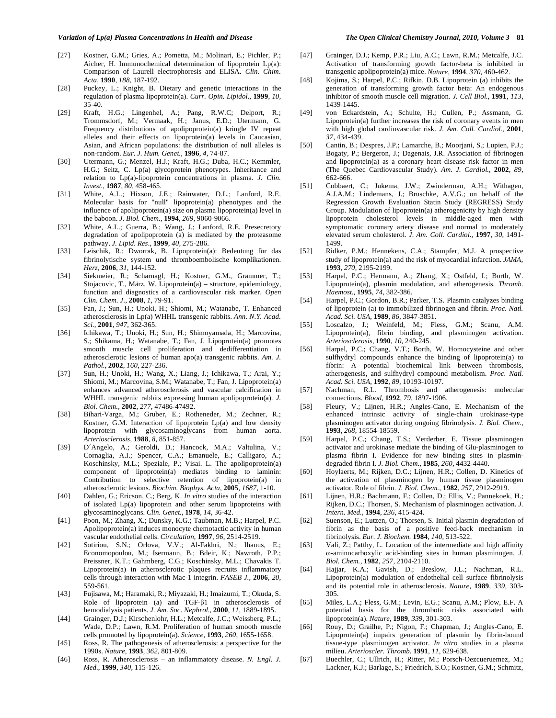- [27] Kostner, G.M.; Gries, A.; Pometta, M.; Molinari, E.; Pichler, P.; Aicher, H. Immunochemical determination of lipoprotein Lp(a): Comparison of Laurell electrophoresis and ELISA. *Clin. Chim. Acta,* **1990**, *188,* 187-192.
- [28] Puckey, L.; Knight, B. Dietary and genetic interactions in the regulation of plasma lipoprotein(a). *Curr. Opin. Lipidol.,* **1999**, *10,* 35-40.
- [29] Kraft, H.G.; Lingenhel, A.; Pang, R.W.C; Delport, R.; Trommsdorf, M.; Vermaak, H.; Janus, E.D.; Utermann, G. Frequency distributions of apolipoprotein(a) kringle IV repeat alleles and their effects on lipoprotein(a) levels in Caucasian, Asian, and African populations: the distribution of null alleles is non-random. *Eur. J. Hum. Genet.,* **1996**, *4,* 74-87.
- [30] Utermann, G.; Menzel, H.J.; Kraft, H.G.; Duba, H.C.; Kemmler, H.G.; Seitz, C. Lp(a) glycoprotein phenotypes. Inheritance and relation to Lp(a)-lipoprotein concentrations in plasma. *J. Clin. Invest.,* **1987**, *80,* 458-465.
- [31] White, A.L.; Hixson, J.E.; Rainwater, D.L.; Lanford, R.E. Molecular basis for "null" lipoprotein(a) phenotypes and the influence of apolipoprotein(a) size on plasma lipoprotein(a) level in the baboon. *J. Biol. Chem.,* **1994**, *269,* 9060-9066.
- [32] White, A.L.; Guerra, B.; Wang, J.; Lanford, R.E. Presecretory degradation of apolipoprotein (a) is mediated by the proteasome pathway. *J. Lipid. Res.,* **1999**, *40,* 275-286.
- [33] Leischik, R.; Dworrak, B. Lipoprotein(a): Bedeutung für das fibrinolytische system und thromboembolische komplikationen. *Herz,* **2006**, *31*, 144-152.
- [34] Siekmeier, R.; Scharnagl, H.; Kostner, G.M., Grammer, T.; Stojacovic, T., März, W. Lipoprotein(a) – structure, epidemiology, function and diagnostics of a cardiovascular risk marker. *Open Clin. Chem. J.*, **2008**, *1*, 79-91.
- [35] Fan, J.; Sun, H.; Unoki, H.; Shiomi, M.; Watanabe, T. Enhanced atherosclerosis in Lp(a) WHHL transgenic rabbits. *Ann. N.Y. Acad. Sci.*, **2001**, *947*, 362-365.
- [36] Ichikawa, T.; Unoki, H.; Sun, H.; Shimoyamada, H.; Marcovina, S.; Shikama, H.; Watanabe, T.; Fan, J. Lipoprotein(a) promotes smooth muscle cell proliferation and dedifferentiation in atherosclerotic lesions of human apo(a) transgenic rabbits. *Am. J. Pathol.*, **2002**, *160*, 227-236.
- [37] Sun, H.; Unoki, H.; Wang, X.; Liang, J.; Ichikawa, T.; Arai, Y.; Shiomi, M.; Marcovina, S.M.; Watanabe, T.; Fan, J. Lipoprotein(a) enhances advanced atherosclerosis and vascular calcification in WHHL transgenic rabbits expressing human apolipoprotein(a). *J. Biol. Chem.*, **2002**, *277*, 47486-47492.
- [38] Bihari-Varga, M.; Gruber, E.; Rotheneder, M.; Zechner, R.; Kostner, G.M. Interaction of lipoprotein Lp(a) and low density lipoprotein with glycosaminoglycans from human aorta. *Arteriosclerosis*, **1988**, *8*, 851-857.
- [39] D´Angelo, A.; Geroldi, D.; Hancock, M.A.; Valtulina, V.; Cornaglia, A.I.; Spencer, C.A.; Emanuele, E.; Calligaro, A.; Koschinsky, M.L.; Speziale, P.; Visai. L. The apolipoprotein(a) component of lipoprotein(a) mediates binding to laminin: Contribution to selective retention of lipoprotein(a) in atherosclerotic lesions. *Biochim. Biophys. Acta*, **2005**, *1687*, 1-10.
- [40] Dahlen, G.; Ericson, C.; Berg, K. *In vitro* studies of the interaction of isolated Lp(a) lipoprotein and other serum lipoproteins with glycosaminoglycans. *Clin. Genet.*, **1978**, *14*, 36-42.
- **[**41] Poon, M.; Zhang, X.; Dunsky, K.G.; Taubman, M.B.; Harpel, P.C. Apolipoprotein(a) induces monocyte chemotactic activity in human vascular endothelial cells. *Circulation*, **1997**, *96*, 2514-2519.
- [42] Sotiriou, S.N.; Orlova, V.V.; Al-Fakhri, N.; Ihanus, E.; Economopoulou, M.; Isermann, B.; Bdeir, K.; Nawroth, P.P.; Preissner, K.T.; Gahmberg, C.G.; Koschinsky, M.L.; Chavakis T. Lipoprotein(a) in atherosclerotic plaques recruits inflammatory cells through interaction with Mac-1 integrin. *FASEB J.*, **2006**, *20*, 559-561.
- [43] Fujisawa, M.; Haramaki, R.; Miyazaki, H.; Imaizumi, T.; Okuda, S. Role of lipoprotein (a) and TGF- $\beta$ 1 in atherosclerosis of hemodialysis patients. *J. Am. Soc. Nephrol.*, **2000**, *11*, 1889-1895.
- [44] Grainger, D.J.; Kirschenlohr, H.L.; Metcalfe, J.C.; Weissberg, P.L.; Wade, D.P.; Lawn, R.M. Proliferation of human smooth muscle cells promoted by lipoprotein(a). *Science*, **1993**, *260*, 1655-1658.
- [45] Ross, R. The pathogenesis of atherosclerosis: a perspective for the 1990s. *Nature*, **1993**, *362*, 801-809.
- [46] Ross, R. Atherosclerosis an inflammatory disease. *N. Engl. J. Med.*, **1999**, *340*, 115-126.
- [47] Grainger, D.J.; Kemp, P.R.; Liu, A.C.; Lawn, R.M.; Metcalfe, J.C. Activation of transforming growth factor-beta is inhibited in transgenic apolipoprotein(a) mice. *Nature*, **1994**, *370*, 460-462.
- [48] Kojima, S.; Harpel, P.C.; Rifkin, D.B. Lipoprotein (a) inhibits the generation of transforming growth factor beta: An endogenous inhibitor of smooth muscle cell migration. *J. Cell Biol.*, **1991**, *113*, 1439-1445.
- [49] von Eckardstein, A.; Schulte, H.; Cullen, P.; Assmann, G. Lipoprotein(a) further increases the risk of coronary events in men with high global cardiovascular risk. *J. Am. Coll. Cardiol.*, **2001**, *37*, 434-439.
- [50] Cantin, B.; Despres, J.P.; Lamarche, B.; Moorjani, S.; Lupien, P.J.; Bogaty, P.; Bergeron, J.; Dagenais, J.R. Association of fibrinogen and lipoprotein(a) as a coronary heart disease risk factor in men (The Quebec Cardiovascular Study). *Am. J. Cardiol.*, **2002**, *89*, 662-666.
- [51] Cobbaert, C.; Jukema, J.W.; Zwinderman, A.H.; Withagen, A.J.A.M.; Lindemans, J.; Bruschke, A.V.G.; on behalf of the Regression Growth Evaluation Statin Study (REGRESS) Study Group. Modulation of lipoprotein(a) atherogenicity by high density lipoprotein cholesterol levels in middle-aged men with symptomatic coronary artery disease and normal to moderately elevated serum cholesterol. *J. Am. Coll. Cardiol.*, **1997**, *30*, 1491- 1499.
- [52] Ridker, P.M.; Hennekens, C.A.; Stampfer, M.J. A prospective study of lipoprotein(a) and the risk of myocardial infarction. *JAMA*, **1993**, *270*, 2195-2199.
- [53] Harpel, P.C.; Hermann, A.; Zhang, X.; Ostfeld, I.; Borth, W. Lipoprotein(a), plasmin modulation, and atherogenesis. *Thromb. Haemost.*, **1995**, *74*, 382-386.
- [54] Harpel, P.C.; Gordon, B.R.; Parker, T.S. Plasmin catalyzes binding of lipoprotein (a) to immobilized fibrinogen and fibrin. *Proc. Natl. Acad. Sci. USA*, **1989**, *86*, 3847-3851.
- [55] Loscalzo, J.; Weinfeld, M.; Fless, G.M.; Scanu, A.M. Lipoprotein(a), fibrin binding, and plasminogen activation. *Arteriosclerosis*, **1990**, *10*, 240-245.
- [56] Harpel, P.C.; Chang, V.T.; Borth, W. Homocysteine and other sulfhydryl compounds enhance the binding of lipoprotein(a) to fibrin: A potential biochemical link between thrombosis, atherogenesis, and sulfhydryl compound metabolism. *Proc. Natl. Acad. Sci. USA*, **1992**, *89*, 10193-10197.
- [57] Nachman, R.L. Thrombosis and atherogenesis: molecular connections. *Blood*, **1992**, *79*, 1897-1906.
- [58] Fleury, V.; Lijnen, H.R.; Angles-Cano, E. Mechanism of the enhanced intrinsic activity of single-chain urokinase-type plasminogen activator during ongoing fibrinolysis. *J. Biol. Chem.*, **1993**, *268*, 18554-18559.
- [59] Harpel, P.C.; Chang, T.S.; Verderber, E. Tissue plasminogen activator and urokinase mediate the binding of Glu-plasminogen to plasma fibrin I. Evidence for new binding sites in plasmindegraded fibrin I. *J. Biol. Chem.*, **1985**, *260*, 4432-4440.
- [60] Hoylaerts, M.; Rijken, D.C.; Lijnen, H.R.; Collen, D. Kinetics of the activation of plasminogen by human tissue plasminogen activator. Role of fibrin. *J. Biol. Chem.*, **1982**, *257*, 2912-2919.
- [61] Lijnen, H.R.; Bachmann, F.; Collen, D.; Ellis, V.; Pannekoek, H.; Rijken, D.C.; Thorsen, S. Mechanism of plasminogen activation. *J. Intern. Med.*, **1994**, *236*, 415-424.
- [62] Suenson, E.; Lutzen, O.; Thorsen, S. Initial plasmin-degradation of fibrin as the basis of a positive feed-back mechanism in fibrinolysis. *Eur. J. Biochem.* **1984**, *140*, 513-522.
- [63] Vali, Z.; Patthy, L. Location of the intermediate and high affinity --aminocarboxylic acid-binding sites in human plasminogen. *J. Biol. Chem.*, **1982**, *257*, 2104-2110.
- [64] Hajjar, K.A.; Gavish, D.; Breslow, J.L.; Nachman, R.L. Lipoprotein(a) modulation of endothelial cell surface fibrinolysis and its potential role in atherosclerosis. *Nature*, **1989**, *339*, 303- 305.
- [65] Miles, L.A.; Fless, G.M.; Levin, E.G.; Scanu, A.M.; Plow, E.F. A potential basis for the thrombotic risks associated with lipoprotein(a). *Nature*, **1989**, *339*, 301-303.
- [66] Rouy, D.; Grailhe, P.; Nigon, F.; Chapman, J.; Angles-Cano, E. Lipoprotein(a) impairs generation of plasmin by fibrin-bound tissue-type plasminogen activator. *In vitro* studies in a plasma milieu. *Arterioscler. Thromb.* **1991**, *11*, 629-638.
- [67] Buechler, C.; Ullrich, H.; Ritter, M.; Porsch-Oezcueruemez, M.; Lackner, K.J.; Barlage, S.; Friedrich, S.O.; Kostner, G.M.; Schmitz,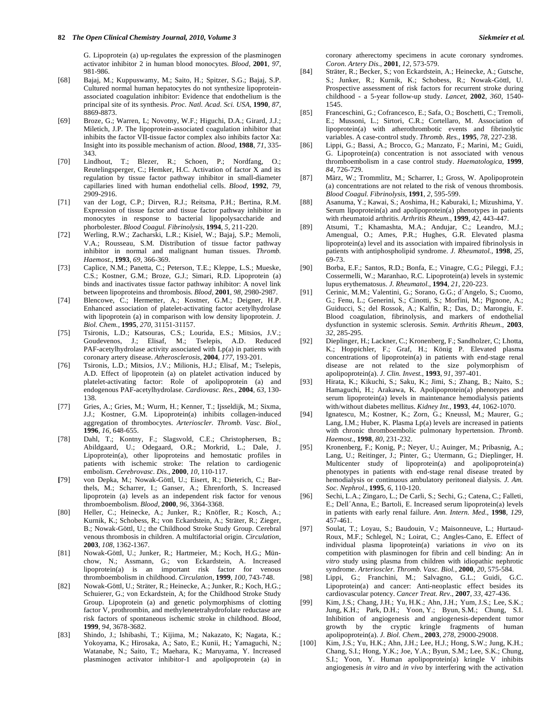G. Lipoprotein (a) up-regulates the expression of the plasminogen activator inhibitor 2 in human blood monocytes. *Blood*, **2001**, *97*, 981-986.

- [68] Bajaj, M.; Kuppuswamy, M.; Saito, H.; Spitzer, S.G.; Bajaj, S.P. Cultured normal human hepatocytes do not synthesize lipoproteinassociated coagulation inhibitor: Evidence that endothelium is the principal site of its synthesis. *Proc. Natl. Acad. Sci. USA*, **1990**, *87*, 8869-8873.
- [69] Broze, G.; Warren, L; Novotny, W.F.; Higuchi, D.A.; Girard, J.J.; Miletich, J.P. The lipoprotein-associated coagulation inhibitor that inhibits the factor VII-tissue factor complex also inhibits factor Xa: Insight into its possible mechanism of action. *Blood*, **1988**, *71*, 335- 343.
- [70] Lindhout, T.; Blezer, R.; Schoen, P.; Nordfang, O.; Reutelingsperger, C.; Hemker, H.C. Activation of factor X and its regulation by tissue factor pathway inhibitor in small-diameter capillaries lined with human endothelial cells. *Blood*, **1992**, *79*, 2909-2916.
- [71] van der Logt, C.P.; Dirven, R.J.; Reitsma, P.H.; Bertina, R.M. Expression of tissue factor and tissue factor pathway inhibitor in monocytes in response to bacterial lipopolysaccharide and phorbolester. *Blood Coagul. Fibrinolysis,* **1994**, *5*, 211-220.
- [72] Werling, R.W.; Zacharski, L.R.; Kisiel, W.; Bajaj, S.P.; Memoli, V.A.; Rousseau, S.M. Distribution of tissue factor pathway inhibitor in normal and malignant human tissues. *Thromb. Haemost.*, **1993**, *69*, 366-369.
- [73] Caplice, N.M.; Panetta, C.; Peterson, T.E.; Kleppe, L.S.; Mueske, C.S.; Kostner, G.M.; Broze, G.J.; Simari, R.D. Lipoprotein (a) binds and inactivates tissue factor pathway inhibitor: A novel link between lipoproteins and thrombosis. *Blood*, **2001**, *98*, 2980-2987.
- [74] Blencowe, C.; Hermetter, A.; Kostner, G.M.; Deigner, H.P. Enhanced association of platelet-activating factor acetylhydrolase with lipoprotein (a) in comparison with low density lipoprotein. *J. Biol. Chem.*, **1995**, *270*, 31151-31157.
- [75] Tsironis, L.D.; Katsouras, C.S.; Lourida, E.S.; Mitsios, J.V.; Goudevenos, J.; Elisaf, M.; Tselepis, A.D. Reduced PAF-acetylhydrolase activity associated with Lp(a) in patients with coronary artery disease. *Atherosclerosis*, **2004**, *177*, 193-201.
- [76] Tsironis, L.D.; Mitsios, J.V.; Milionis, H.J.; Elisaf, M.; Tselepis, A.D. Effect of lipoprotein (a) on platelet activation induced by platelet-activating factor: Role of apolipoprotein (a) and endogenous PAF-acetylhydrolase. *Cardiovasc. Res.*, **2004**, *63*, 130- 138.
- [77] Gries, A.; Gries, M.; Wurm, H.; Kenner, T.; Ijsseldijk, M.; Sixma, J.J.; Kostner, G.M. Lipoprotein(a) inhibits collagen-induced aggregation of thrombocytes. *Arterioscler. Thromb. Vasc. Biol.*, **1996**, *16*, 648-655.
- [78] Dahl, T.; Kontny, F.; Slagsvold, C.E.; Christophersen, B.; Abildgaard, U.; Odegaard, O.R.; Morkrid, L.; Dale, J. Lipoprotein(a), other lipoproteins and hemostatic profiles in patients with ischemic stroke: The relation to cardiogenic embolism. *Cerebrovasc. Dis.*, **2000**, *10*, 110-117.
- **[**79] von Depka, M.; Nowak-Göttl, U.; Eisert, R.; Dieterich, C.; Barthels, M.; Scharrer, I.; Ganser, A.; Ehrenforth, S. Increased lipoprotein (a) levels as an independent risk factor for venous thromboembolism. *Blood*, **2000**, *96*, 3364-3368.
- [80] Heller, C.; Heinecke, A.; Junker, R.; Knöfler, R.; Kosch, A.; Kurnik, K.; Schobess, R.; von Eckardstein, A.; Sträter, R.; Zieger, B.; Nowak-Göttl, U.; the Childhood Stroke Study Group. Cerebral venous thrombosis in children. A multifactorial origin. *Circulation*, **2003**, *108*, 1362-1367.
- [81] Nowak-Göttl, U.; Junker, R.; Hartmeier, M.; Koch, H.G.; Münchow, N.; Assmann, G.; von Eckardstein, A. Increased lipoprotein(a) is an important risk factor for venous thromboembolism in childhood. *Circulation*, **1999**, *100*, 743-748.
- [82] Nowak-Göttl, U.; Sträter, R.; Heinecke, A.; Junker, R.; Koch, H.G.; Schuierer, G.; von Eckardstein, A; for the Childhood Stroke Study Group. Lipoprotein (a) and genetic polymorphisms of clotting factor V, prothrombin, and methylenetetrahydrofolate reductase are risk factors of spontaneous ischemic stroke in childhood. *Blood*, **1999**, *94*, 3678-3682.
- [83] Shindo, J.; Ishibashi, T.; Kijima, M.; Nakazato, K; Nagata, K.; Yokoyama, K.; Hirosaka, A.; Sato, E.; Kunii, H.; Yamaguchi, N.; Watanabe, N.; Saito, T.; Maehara, K.; Maruyama, Y. Increased plasminogen activator inhibitor-1 and apolipoprotein (a) in

coronary atherectomy specimens in acute coronary syndromes. *Coron. Artery Dis.*, **2001**, *12*, 573-579.

- [84] Sträter, R.; Becker, S.; von Eckardstein, A.; Heinecke, A.; Gutsche, S.; Junker, R.; Kurnik, K.; Schobess, R.; Nowak-Göttl, U. Prospective assessment of risk factors for recurrent stroke during childhood - a 5-year follow-up study. *Lancet*, **2002**, *360*, 1540- 1545.
- [85] Franceschini, G.; Cofrancesco, E.; Safa, O.; Boschetti, C.; Tremoli, E.; Mussoni, L.; Sirtori, C.R.; Cortellaro, M. Association of lipoprotein(a) with atherothrombotic events and fibrinolytic variables. A case-control study. *Thromb. Res.*, **1995**, *78*, 227-238.
- [86] Lippi, G.; Bassi, A.; Brocco, G.; Manzato, F.; Marini, M.; Guidi, G. Lipoprotein(a) concentration is not associated with venous thromboembolism in a case control study. *Haematologica*, **1999**, *84*, 726-729.
- [87] März, W.; Trommlitz, M.; Scharrer, I.; Gross, W. Apolipoprotein (a) concentrations are not related to the risk of venous thrombosis. *Blood Coagul. Fibrinolysis*, **1991**, *2*, 595-599.
- [88] Asanuma, Y.; Kawai, S.; Aoshima, H.; Kaburaki, I.; Mizushima, Y. Serum lipoprotein(a) and apolipoprotein(a) phenotypes in patients with rheumatoid arthritis. *Arthritis Rheum.*, **1999**, *42*, 443-447.
- [89] Atsumi, T.; Khamashta, M.A.; Andujar, C.; Leandro, M.J.; Amengual, O.; Ames, P.R.; Hughes, G.R. Elevated plasma lipoprotein(a) level and its association with impaired fibrinolysis in patients with antiphospholipid syndrome. *J. Rheumatol.*, **1998**, *25*, 69-73.
- [90] Borba, E.F.; Santos, R.D.; Bonfa, E.; Vinagre, C.G.; Pileggi, F.J.; Cossermelli, W.; Maranhao, R.C. Lipoprotein(a) levels in systemic lupus erythematosus. *J. Rheumatol.*, **1994**, *21*, 220-223.
- [91] Cerinic, M.M.; Valentini, G.; Sorano, G.G.; d´Angelo, S.; Cuomo, G.; Fenu, L.; Generini, S.; Cinotti, S.; Morfini, M.; Pignone, A.; Guiducci, S.; del Rossok, A.; Kalfin, R.; Das, D.; Marongiu, F. Blood coagulation, fibrinolysis, and markers of endothelial dysfunction in systemic sclerosis. *Semin. Arthritis Rheum.*, **2003**, *32*, 285-295.
- [92] Dieplinger, H.; Lackner, C.; Kronenberg, F.; Sandholzer, C; Lhotta, K.; Hoppichler, F.; Graf, H.; König P. Elevated plasma concentrations of lipoprotein(a) in patients with end-stage renal disease are not related to the size polymorphism of apolipoprotein(a). *J. Clin. Invest.*, **1993**, *91*, 397-401.
- [93] Hirata, K.; Kikuchi, S.; Saku, K.; Jimi, S.; Zhang, B.; Naito, S.; Hamaguchi, H.; Arakawa, K. Apolipoprotein(a) phenotypes and serum lipoprotein(a) levels in maintenance hemodialysis patients with/without diabetes mellitus. *Kidney Int.*, **1993**, *44*, 1062-1070.
- [94] Ignatescu, M.; Kostner, K.; Zorn, G.; Kneussl, M.; Maurer, G.; Lang, I.M.; Huber, K. Plasma Lp(a) levels are increased in patients with chronic thromboembolic pulmonary hypertension. *Thromb. Haemost.*, **1998**, *80*, 231-232.
- [95] Kronenberg, F.; Konig, P.; Neyer, U.; Auinger, M.; Pribasnig, A.; Lang, U.; Reitinger, J.; Pinter, G.; Utermann, G.; Dieplinger, H. Multicenter study of lipoprotein(a) and apolipoprotein(a) phenotypes in patients with end-stage renal disease treated by hemodialysis or continuous ambulatory peritoneal dialysis. *J. Am. Soc. Nephrol.*, **1995**, *6*, 110-120.
- [96] Sechi, L.A.; Zingaro, L.; De Carli, S.; Sechi, G.; Catena, C.; Falleti, E.; Dell´Anna, E.; Bartoli, E. Increased serum lipoprotein(a) levels in patients with early renal failure. *Ann. Intern. Med.*, **1998**, *129*, 457-461.
- [97] Soulat, T.; Loyau, S.; Baudouin, V.; Maisonneuve, L.; Hurtaud-Roux, M.F.; Schlegel, N.; Loirat, C.; Angles-Cano, E. Effect of individual plasma lipoprotein(a) variations *in vivo* on its competition with plasminogen for fibrin and cell binding: An *in vitro* study using plasma from children with idiopathic nephrotic syndrome. *Arterioscler. Thromb. Vasc. Biol.*, **2000**, *20*, 575-584.
- [98] Lippi, G.; Franchini, M.; Salvagno, G.L.; Guidi, G.C. Lipoprotein(a) and cancer: Anti-neoplastic effect besides its cardiovascular potency. *Cancer Treat. Rev.*, **2007**, *33*, 427-436.
- [99] Kim, J.S.; Chang, J.H.; Yu, H.K.; Ahn, J.H.; Yum, J.S.; Lee, S.K.; Jung, K.H.; Park, D.H.; Yoon, Y.; Byun, S.M.; Chung, S.I. Inhibition of angiogenesis and angiogenesis-dependent tumor growth by the cryptic kringle fragments of human apolipoprotein(a). *J. Biol. Chem.*, **2003**, *278*, 29000-29008.
- [100] Kim, J.S.; Yu, H.K.; Ahn, J.H.; Lee, H.J.; Hong, S.W.; Jung, K.H.; Chang, S.I.; Hong, Y.K.; Joe, Y.A.; Byun, S.M.; Lee, S.K.; Chung, S.I.; Yoon, Y. Human apolipoprotein(a) kringle V inhibits angiogenesis *in vitro* and *in vivo* by interfering with the activation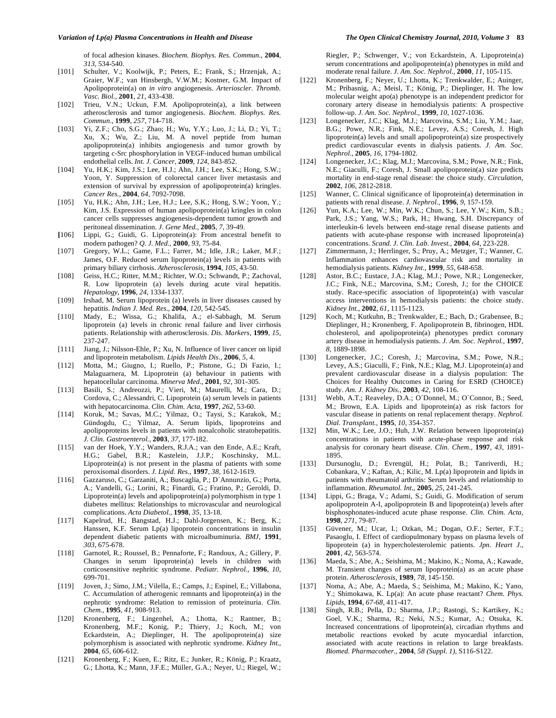of focal adhesion kinases. *Biochem. Biophys. Res. Commun.*, **2004**, *313*, 534-540.

- [101] Schulter, V.; Koolwijk, P.; Peters, E.; Frank, S.; Hrzenjak, A.; Graier, W.F.; van Hinsbergh, V.W.M.; Kostner, G.M. Impact of Apolipoprotein(a) on *in vitro* angiogenesis. *Arterioscler. Thromb. Vasc. Biol.*, **2001**, *21*, 433-438.
- [102] Trieu, V.N.; Uckun, F.M. Apolipoprotein(a), a link between atherosclerosis and tumor angiogenesis. *Biochem. Biophys. Res. Commun.*, **1999**, *257*, 714-718.
- [103] Yi, Z.F.; Cho, S.G.; Zhao; H.; Wu, Y.Y.; Luo, J.; Li, D.; Yi, T.; Xu, X.; Wu, Z.; Liu, M. A novel peptide from human apolipoprotein(a) inhibits angiogenesis and tumor growth by targeting c-Src phosphorylation in VEGF-induced human umbilical endothelial cells. *Int. J. Cancer*, **2009**, *124*, 843-852.
- [104] Yu, H.K.; Kim, J.S.; Lee, H.J.; Ahn, J.H.; Lee, S.K.; Hong, S.W.; Yoon, Y. Suppression of colorectal cancer liver metastasis and extension of survival by expression of apolipoprotein(a) kringles. *Cancer Res.*, **2004**, *64*, 7092-7098.
- [105] Yu, H.K.; Ahn, J.H.; Lee, H.J.; Lee, S.K.; Hong, S.W.; Yoon, Y.; Kim, J.S. Expression of human apolipoprotein(a) kringles in colon cancer cells suppresses angiogenesis-dependent tumor growth and peritoneal dissemination. *J. Gene Med.*, **2005**, *7*, 39-49.
- **[**106] Lippi, G.; Guidi, G. Lipoprotein(a): From ancestral benefit to modern pathogen? *Q. J. Med.*, **2000**, *93*, 75-84.
- [107] Gregory, W.L.; Game, F.L.; Farrer, M.; Idle, J.R.; Laker, M.F.; James, O.F. Reduced serum lipoprotein(a) levels in patients with primary biliary cirrhosis. *Atherosclerosis,* **1994**, *105*, 43-50.
- [108] Geiss, H.C.; Ritter, M.M.; Richter, W.O.; Schwandt, P.; Zachoval, R. Low lipoprotein (a) levels during acute viral hepatitis. *Hepatology,* **1996**, *24*, 1334-1337.
- [109] Irshad, M. Serum lipoprotein (a) levels in liver diseases caused by hepatitis. *Indian J. Med. Res.,* **2004**, *120,* 542-545.
- [110] Mady, E.; Wissa, G.; Khalifa, A.; el-Sabbagh, M. Serum lipoprotein (a) levels in chronic renal failure and liver cirrhosis patients. Relationship with atherosclerosis. *Dis. Markers,* **1999**, *15,* 237-247.
- [111] Jiang, J.; Nilsson-Ehle, P.; Xu, N. Influence of liver cancer on lipid and lipoprotein metabolism. *Lipids Health Dis.,* **2006**, *5*, 4.
- [112] Motta, M.; Giugno, I.; Ruello, P.; Pistone, G.; Di Fazio, I.; Malaguarnera, M. Lipoprotein (a) behaviour in patients with hepatocellular carcinoma. *Minerva Med.,* **2001**, *92*, 301-305.
- [113] Basili, S.; Andreozzi, P.; Vieri, M.; Maurelli, M.; Cara, D.; Cordova, C.; Alessandri, C. Lipoprotein (a) serum levels in patients with hepatocarcinoma. *Clin. Chim. Acta,* **1997**, *262*, 53-60.
- [114] Koruk, M.; Savas, M.C.; Yilmaz, O.; Taysi, S.; Karakok, M.; Gündogdu, C.; Yilmaz, A. Serum lipids, lipoproteins and apolipoproteins levels in patients with nonalcoholic steatohepatitis. *J. Clin. Gastroenterol.,* **2003**, *37*, 177-182.
- [115] van der Hoek, Y.Y.; Wanders, R.J.A.; van den Ende, A.E.; Kraft, H.G.; Gabel, B.R.; Kastelein, J.J.P.; Koschinsky, M.L. Lipoprotein(a) is not present in the plasma of patients with some peroxisomal disorders. *J. Lipid. Res.,* **1997**, *38*, 1612-1619.
- [116] Gazzaruso, C.; Garzaniti, A.; Buscaglia, P.; D´Annunzio, G.; Porta, A.; Vandelli, G.; Lorini, R.; Finardi, G.; Fratino, P.; Geroldi, D. Lipoprotein(a) levels and apolipoprotein(a) polymorphism in type 1 diabetes mellitus: Relationships to microvascular and neurological complications. *Acta Diabetol.,* **1998**, *35*, 13-18.
- [117] Kapelrud, H.; Bangstad, H.J.; Dahl-Jorgensen, K.; Berg, K.; Hanssen, K.F. Serum Lp(a) lipoprotein concentrations in insulin dependent diabetic patients with microalbuminuria. *BMJ,* **1991**, *303*, 675-678.
- [118] Garnotel, R.; Roussel, B.; Pennaforte, F.; Randoux, A.; Gillery, P. Changes in serum lipoprotein(a) levels in children with corticosensitive nephritic syndrome. *Pediatr. Nephrol.,* **1996**, *10*, 699-701.
- [119] Joven, J.; Simo, J.M.; Vilella, E.; Camps, J.; Espinel, E.; Villabona, C. Accumulation of atherogenic remnants and lipoprotein(a) in the nephrotic syndrome: Relation to remission of proteinuria. *Clin. Chem.,* **1995**, *41*, 908-913.
- [120] Kronenberg, F.; Lingenhel, A.; Lhotta, K.; Rantner, B.; Kronenberg, M.F.; Konig, P.; Thiery, J.; Koch, M.; von Eckardstein, A.; Dieplinger, H. The apolipoprotein(a) size polymorphism is associated with nephrotic syndrome. *Kidney Int.,* **2004**, *65*, 606-612.
- [121] Kronenberg, F.; Kuen, E.; Ritz, E.; Junker, R.; König, P.; Kraatz, G.; Lhotta, K.; Mann, J.F.E.; Müller, G.A.; Neyer, U.; Riegel, W.;

Riegler, P.; Schwenger, V.; von Eckardstein, A. Lipoprotein(a) serum concentrations and apolipoprotein(a) phenotypes in mild and moderate renal failure. *J. Am. Soc. Nephrol.,* **2000**, *11*, 105-115.

- [122] Kronenberg, F.; Neyer, U.; Lhotta, K.; Trenkwalder, E.; Auinger, M.; Pribasnig, A.; Meisl, T.; König, P.; Dieplinger, H. The low molecular weight apo(a) phenotype is an independent predictor for coronary artery disease in hemodialysis patients: A prospective follow-up. *J. Am. Soc. Nephrol.,* **1999**, *10*, 1027-1036.
- [123] Longenecker, J.C.; Klag, M.J.; Marcovina, S.M.; Liu, Y.M.; Jaar, B.G.; Powe, N.R.; Fink, N.E.; Levey, A.S.; Coresh, J. High lipoprotein(a) levels and small apolipoprotein(a) size prospectively predict cardiovascular events in dialysis patients. *J. Am. Soc. Nephrol.,* **2005**, *16*, 1794-1802.
- [124] Longenecker, J.C.; Klag, M.J.; Marcovina, S.M.; Powe, N.R.; Fink, N.E.; Giaculli, F.; Coresh, J. Small apolipoprotein(a) size predicts mortality in end-stage renal disease: the choice study. *Circulation,* **2002**, *106*, 2812-2818.
- [125] Wanner, C. Clinical significance of lipoprotein(a) determination in patients with renal disease. *J. Nephrol.,* **1996**, *9*, 157-159.
- [126] Yun, K.A.; Lee, W.; Min, W.K.; Chun, S.; Lee, Y.W.; Kim, S.B.; Park, J.S.; Yang, W.S.; Park, H.; Hwang, S.H. Discrepancy of interleukin-6 levels between end-stage renal disease patients and patients with acute-phase response with increased lipoprotein(a) concentrations. *Scand. J. Clin. Lab. Invest.,* **2004**, *64*, 223-228.
- [127] Zimmermann, J.; Herrlinger, S.; Pruy, A.; Metzger, T.; Wanner, C. Inflammation enhances cardiovascular risk and mortality in hemodialysis patients. *Kidney Int.,* **1999**, *55*, 648-658.
- [128] Astor, B.C.; Eustace, J.A.; Klag, M.J.; Powe, N.R.; Longenecker, J.C.; Fink, N.E.; Marcovina, S.M.; Coresh, J.; for the CHOICE study. Race-specific association of lipoprotein(a) with vascular access interventions in hemodialysis patients: the choice study. *Kidney Int.,* **2002**, *61*, 1115-1123.
- [129] Koch, M.; Kutkuhn, B.; Trenkwalder, E.; Bach, D.; Grabensee, B.; Dieplinger, H.; Kronenberg, F. Apolipoprotein B, fibrinogen, HDL cholesterol, and apolipoprotein(a) phenotypes predict coronary artery disease in hemodialysis patients. *J. Am. Soc. Nephrol.,* **1997**, *8*, 1889-1898.
- [130] Longenecker, J.C.; Coresh, J.; Marcovina, S.M.; Powe, N.R.; Levey, A.S.; Giaculli, F.; Fink, N.E.; Klag, M.J. Lipoprotein(a) and prevalent cardiovascular disease in a dialysis population: The Choices for Healthy Outcomes in Caring for ESRD (CHOICE) study. *Am. J. Kidney Dis.,* **2003**, *42*, 108-116.
- [131] Webb, A.T.; Reaveley, D.A.; O´Donnel, M.; O´Connor, B.; Seed, M.; Brown, E.A. Lipids and lipoprotein(a) as risk factors for vascular disease in patients on renal replacement therapy. *Nephrol. Dial. Transplant.,* **1995**, *10*, 354-357.
- [132] Min, W.K.; Lee, J.O.; Huh, J.W. Relation between lipoprotein(a) concentrations in patients with acute-phase response and risk analysis for coronary heart disease. *Clin. Chem.,* **1997**, *43*, 1891- 1895.
- [133] Dursunoglu, D.; Evrengül, H.; Polat, B.; Tanriverdi, H.; Cobankara, V.; Kaftan, A.; Kilic, M. Lp(a) lipoprotein and lipids in patients with rheumatoid arthritis: Serum levels and relationship to inflammation. *Rheumatol. Int.,* **2005**, *25*, 241-245.
- [134] Lippi, G.; Braga, V.; Adami, S.; Guidi, G. Modification of serum apolipoprotein A-I, apolipoprotein B and lipoprotein(a) levels after bisphosphonates-induced acute phase response. *Clin. Chim. Acta,* **1998**, *271*, 79-87.
- [135] Güvener, M.; Ucar, I.; Ozkan, M.; Dogan, O.F.; Serter, F.T.; Pasaoglu, I. Effect of cardiopulmonary bypass on plasma levels of lipoprotein (a) in hypercholesterolemic patients. *Jpn. Heart J.,* **2001**, *42*, 563-574.
- [136] Maeda, S.; Abe, A.; Seishima, M.; Makino, K.; Noma, A.; Kawade, M. Transient changes of serum lipoprotein(a) as an acute phase protein. *Atherosclerosis,* **1989**, *78*, 145-150.
- [137] Noma, A.; Abe, A.; Maeda, S.; Seishima, M.; Makino, K.; Yano, Y.; Shimokawa, K. Lp(a): An acute phase reactant? *Chem. Phys. Lipids,* **1994**, *67-68*, 411-417.
- [138] Singh, R.B.; Pella, D.; Sharma, J.P.; Rastogi, S.; Kartikey, K.; Goel, V.K.; Sharma, R.; Neki, N.S.; Kumar, A.; Otsuka, K. Increased concentrations of lipoprotein(a), circadian rhythms and metabolic reactions evoked by acute myocardial infarction, associated with acute reactions in relation to large breakfasts. *Biomed. Pharmacother.,* **2004**, *58 (Suppl. 1)*, S116-S122.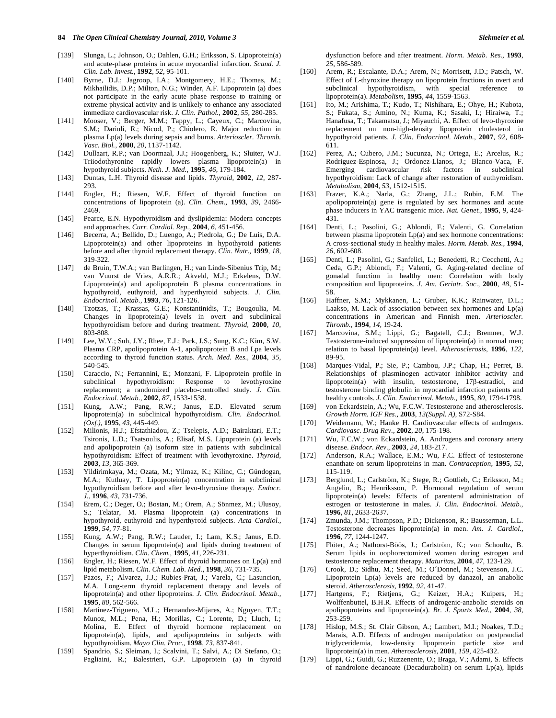- [139] Slunga, L.; Johnson, O.; Dahlen, G.H.; Eriksson, S. Lipoprotein(a) and acute-phase proteins in acute myocardial infarction. *Scand. J. Clin. Lab. Invest.,* **1992**, *52*, 95-101.
- [140] Byrne, D.J.; Jagroop, I.A.; Montgomery, H.E.; Thomas, M.; Mikhailidis, D.P.; Milton, N.G.; Winder, A.F. Lipoprotein (a) does not participate in the early acute phase response to training or extreme physical activity and is unlikely to enhance any associated immediate cardiovascular risk. *J. Clin. Pathol.,* **2002**, *55*, 280-285.
- [141] Mooser, V.; Berger, M.M.; Tappy, L.; Cayeux, C.; Marcovina, S.M.; Darioli, R.; Nicod, P.; Chiolero, R. Major reduction in plasma Lp(a) levels during sepsis and burns. *Arterioscler. Thromb. Vasc. Biol.,* **2000**, *20*, 1137-1142.
- [142] Dullaart, R.P.; van Doormaal, J.J.; Hoogenberg, K.; Sluiter, W.J. Triiodothyronine rapidly lowers plasma lipoprotein(a) in hypothyroid subjects. *Neth. J. Med.,* **1995**, *46*, 179-184.
- [143] Duntas, L.H. Thyroid disease and lipids. *Thyroid,* **2002**, *12*, 287- 293.
- [144] Engler, H.; Riesen, W.F. Effect of thyroid function on concentrations of lipoprotein (a). *Clin. Chem.,* **1993**, *39*, 2466- 2469.
- [145] Pearce, E.N. Hypothyroidism and dyslipidemia: Modern concepts and approaches. *Curr. Cardiol. Rep.,* **2004**, *6*, 451-456.
- [146] Becerra, A.; Bellido, D.; Luengo, A.; Piedrola, G.; De Luis, D.A. Lipoprotein(a) and other lipoproteins in hypothyroid patients before and after thyroid replacement therapy. *Clin. Nutr.,* **1999**, *18*, 319-322.
- [147] de Bruin, T.W.A.; van Barlingen, H.; van Linde-Sibenius Trip, M.; van Vuurst de Vries, A.R.R.; Akveld, M.J.; Erkelens, D.W. Lipoprotein(a) and apolipoprotein B plasma concentrations in hypothyroid, euthyroid, and hyperthyroid subjects. *J. Clin. Endocrinol. Metab.,* **1993**, *76*, 121-126.
- **[**148] Tzotzas, T.; Krassas, G.E.; Konstantinidis, T.; Bougoulia, M. Changes in lipoprotein(a) levels in overt and subclinical hypothyroidism before and during treatment. *Thyroid,* **2000**, *10*, 803-808.
- [149] Lee, W.Y.; Suh, J.Y.; Rhee, E.J.; Park, J.S.; Sung, K.C.; Kim, S.W. Plasma CRP, apolipoprotein A-1, apolipoprotein B and Lpa levels according to thyroid function status. *Arch. Med. Res.,* **2004**, *35*, 540-545.
- [150] Caraccio, N.; Ferrannini, E.; Monzani, F. Lipoprotein profile in subclinical hypothyroidism: Response to levothyroxine replacement; a randomized placebo-controlled study. *J. Clin. Endocrinol. Metab.,* **2002**, *87*, 1533-1538.
- [151] Kung, A.W.; Pang, R.W.; Janus, E.D. Elevated serum lipoprotein(a) in subclinical hypothyroidism. *Clin. Endocrinol. (Oxf.),* **1995**, *43*, 445-449.
- [152] Milionis, H.J.; Efstathiadou, Z.; Tselepis, A.D.; Bairaktari, E.T.; Tsironis, L.D.; Tsatsoulis, A.; Elisaf, M.S. Lipoprotein (a) levels and apolipoprotein (a) isoform size in patients with subclinical hypothyroidism: Effect of treatment with levothyroxine. *Thyroid,* **2003**, *13*, 365-369.
- [153] Yildirimkaya, M.; Ozata, M.; Yilmaz, K.; Kilinc, C.; Gündogan, M.A.; Kutluay, T. Lipoprotein(a) concentration in subclinical hypothyroidism before and after levo-thyroxine therapy. *Endocr. J.,* **1996**, *43*, 731-736.
- [154] Erem, C.; Deger, O.; Bostan, M.; Orem, A.; Sönmez, M.; Ulusoy, S.; Telatar, M. Plasma lipoprotein (a) concentrations in hypothyroid, euthyroid and hyperthyroid subjects. *Acta Cardiol.,* **1999**, *54*, 77-81.
- [155] Kung, A.W.; Pang, R.W.; Lauder, I.; Lam, K.S.; Janus, E.D. Changes in serum lipoprotein(a) and lipids during treatment of hyperthyroidism. *Clin. Chem.,* **1995**, *41*, 226-231.
- [156] Engler, H.; Riesen, W.F. Effect of thyroid hormones on Lp(a) and lipid metabolism. *Clin. Chem. Lab. Med.,* **1998**, *36*, 731-735.
- [157] Pazos, F.; Alvarez, J.J.; Rubies-Prat, J.; Varela, C.; Lasuncion, M.A. Long-term thyroid replacement therapy and levels of lipoprotein(a) and other lipoproteins. *J. Clin. Endocrinol. Metab.,* **1995**, *80*, 562-566.
- [158] Martinez-Triguero, M.L.; Hernandez-Mijares, A.; Nguyen, T.T.; Munoz, M.L.; Pena, H.; Morillas, C.; Lorente, D.; Lluch, I.; Molina, E. Effect of thyroid hormone replacement on lipoprotein(a), lipids, and apolipoproteins in subjects with hypothyroidism. *Mayo Clin. Proc.,* **1998**, *73*, 837-841.
- [159] Spandrio, S.; Sleiman, I.; Scalvini, T.; Salvi, A.; Di Stefano, O.; Pagliaini, R.; Balestrieri, G.P. Lipoprotein (a) in thyroid

dysfunction before and after treatment. *Horm. Metab. Res.,* **1993**, *25*, 586-589.

- [160] Arem, R.; Escalante, D.A.; Arem, N.; Morrisett, J.D.; Patsch, W. Effect of L-thyroxine therapy on lipoprotein fractions in overt and subclinical hypothyroidism, with special reference to lipoprotein(a). *Metabolism,* **1995**, *44*, 1559-1563.
- [161] Ito, M.; Arishima, T.; Kudo, T.; Nishihara, E.; Ohye, H.; Kubota, S.; Fukata, S.; Amino, N.; Kuma, K.; Sasaki, I.; Hiraiwa, T.; Hanafusa, T.; Takamatsu, J.; Miyauchi, A. Effect of levo-thyroxine replacement on non-high-density lipoprotein cholesterol in hypothyroid patients. *J. Clin. Endocrinol. Metab.,* **2007**, *92*, 608- 611.
- [162] Perez, A.; Cubero, J.M.; Sucunza, N.; Ortega, E.; Arcelus, R.; Rodriguez-Espinosa, J.; Ordonez-Llanos, J.; Blanco-Vaca, F. Emerging cardiovascular risk factors in subclinical hypothyroidism: Lack of change after restoration of euthyroidism. *Metabolism,* **2004**, *53*, 1512-1515.
- [163] Frazer, K.A.; Narla, G.; Zhang, J.L.; Rubin, E.M. The apolipoprotein(a) gene is regulated by sex hormones and acute phase inducers in YAC transgenic mice. *Nat. Genet.,* **1995**, *9*, 424- 431.
- [164] Denti, L.; Pasolini, G.; Ablondi, F.; Valenti, G. Correlation between plasma lipoprotein Lp(a) and sex hormone concentrations: A cross-sectional study in healthy males. *Horm. Metab. Res.,* **1994**, *26*, 602-608.
- [165] Denti, L.; Pasolini, G.; Sanfelici, L.; Benedetti, R.; Cecchetti, A.; Ceda, G.P.; Ablondi, F.; Valenti, G. Aging-related decline of gonadal function in healthy men: Correlation with body composition and lipoproteins. *J. Am. Geriatr. Soc.,* **2000**, *48*, 51- 58.
- [166] Haffner, S.M.; Mykkanen, L.; Gruber, K.K.; Rainwater, D.L.; Laakso, M. Lack of association between sex hormones and Lp(a) concentrations in American and Finnish men. *Arterioscler. Thromb.,* **1994**, *14*, 19-24.
- [167] Marcovina, S.M.; Lippi, G.; Bagatell, C.J.; Bremner, W.J. Testosterone-induced suppression of lipoprotein(a) in normal men; relation to basal lipoprotein(a) level. *Atherosclerosis,* **1996**, *122*, 89-95.
- [168] Marques-Vidal, P.; Sie, P.; Cambou, J.P.; Chap, H.; Perret, B. Relationships of plasminogen activator inhibitor activity and lipoprotein(a) with insulin, testosterone,  $17\beta$ -estradiol, and testosterone binding globulin in myocardial infarction patients and healthy controls. *J. Clin. Endocrinol. Metab.,* **1995**, *80*, 1794-1798.
- [169] von Eckardstein, A.; Wu, F.C.W. Testosterone and atherosclerosis. *Growth Horm. IGF Res.,* **2003**, *13(Suppl. A)*, S72-S84.
- [170] Weidemann, W.; Hanke H. Cardiovascular effects of androgens. *Cardiovasc. Drug Rev.,* **2002**, *20*, 175-198.
- [171] Wu, F.C.W.; von Eckardstein, A. Androgens and coronary artery disease. *Endocr. Rev.,* **2003**, *24*, 183-217.
- [172] Anderson, R.A.; Wallace, E.M.; Wu, F.C. Effect of testosterone enanthate on serum lipoproteins in man. *Contraception,* **1995**, *52*, 115-119.
- [173] Berglund, L.; Carlström, K.; Stege, R.; Gottlieb, C.; Eriksson, M.; Angelin, B.; Henriksson, P. Hormonal regulation of serum lipoprotein(a) levels: Effects of parenteral administration of estrogen or testosterone in males. *J. Clin. Endocrinol. Metab.,* **1996**, *81*, 2633-2637.
- [174] Zmunda, J.M.; Thompson, P.D.; Dickenson, R.; Bausserman, L.L. Testosterone decreases lipoprotein(a) in men. *Am. J. Cardiol.,* **1996**, *77*, 1244-1247.
- [175] Flöter, A.; Nathorst-Böös, J.; Carlström, K.; von Schoultz, B. Serum lipids in oophorectomized women during estrogen and testosterone replacement therapy. *Maturitas,* **2004**, *47*, 123-129.
- [176] Crook, D.; Sidhu, M.; Seed, M.; O´Donnel, M.; Stevenson, J.C. Lipoprotein Lp(a) levels are reduced by danazol, an anabolic steroid. *Atherosclerosis,* **1992**, *92*, 41-47.
- [177] Hartgens, F.; Rietjens, G.; Keizer, H.A.; Kuipers, H.; Wolffenbuttel, B.H.R. Effects of androgenic-anabolic steroids on apolipoproteins and lipoprotein(a). *Br. J. Sports Med.,* **2004**, *38*, 253-259.
- [178] Hislop, M.S.; St. Clair Gibson, A.; Lambert, M.I.; Noakes, T.D.; Marais, A.D. Effects of androgen manipulation on postprandial triglyceridemia, low-density lipoprotein particle size and lipoprotein(a) in men. *Atherosclerosis,* **2001**, *159*, 425-432.
- [179] Lippi, G.; Guidi, G.; Ruzzenente, O.; Braga, V.; Adami, S. Effects of nandrolone decanoate (Decadurabolin) on serum Lp(a), lipids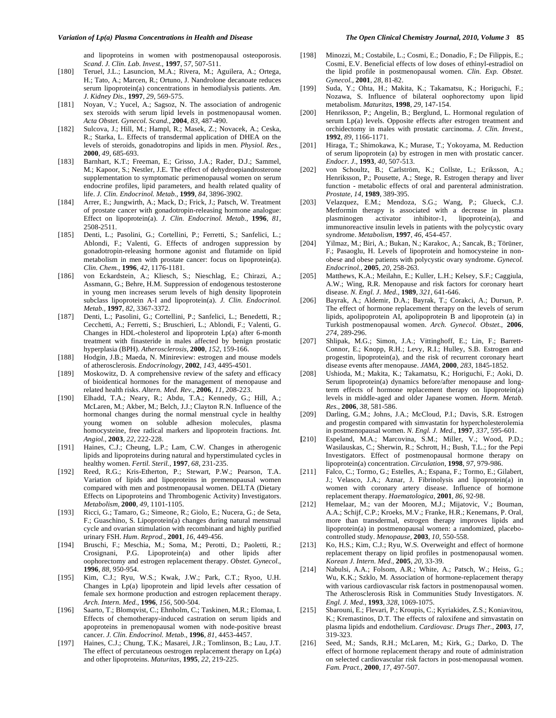and lipoproteins in women with postmenopausal osteoporosis. *Scand*. *J. Clin. Lab. Invest.,* **1997**, *57*, 507-511.

- [180] Teruel, J.L.; Lasuncion, M.A.; Rivera, M.; Aguilera, A.; Ortega, H.; Tato, A.; Marcen, R.; Ortuno, J. Nandrolone decanoate reduces serum lipoprotein(a) concentrations in hemodialysis patients. *Am. J. Kidney Dis.,* **1997**, *29*, 569-575.
- [181] Noyan, V.; Yucel, A.; Sagsoz, N. The association of androgenic sex steroids with serum lipid levels in postmenopausal women. *Acta Obstet. Gynecol. Scand.,* **2004**, *83*, 487-490.
- [182] Sulcova, J.; Hill, M.; Hampl, R.; Masek, Z.; Novacek, A.; Ceska, R.; Starka, L. Effects of transdermal application of DHEA on the levels of steroids, gonadotropins and lipids in men. *Physiol. Res.,* **2000**, *49*, 685-693.
- [183] Barnhart, K.T.; Freeman, E.; Grisso, J.A.; Rader, D.J.; Sammel, M.; Kapoor, S.; Nestler, J.E. The effect of dehydroepiandrosterone supplementation to symptomatic perimenopausal women on serum endocrine profiles, lipid parameters, and health related quality of life. *J. Clin. Endocrinol. Metab.,* **1999**, *84*, 3896-3902.
- [184] Arrer, E.; Jungwirth, A.; Mack, D.; Frick, J.; Patsch, W. Treatment of prostate cancer with gonadotropin-releasing hormone analogue: Effect on lipoprotein(a). *J. Clin. Endocrinol. Metab.,* **1996**, *81*, 2508-2511.
- [185] Denti, L.; Pasolini, G.; Cortellini, P.; Ferretti, S.; Sanfelici, L.; Ablondi, F.; Valenti, G. Effects of androgen suppression by gonadotropin-releasing hormone agonist and flutamide on lipid metabolism in men with prostate cancer: focus on lipoprotein(a). *Clin. Chem.,* **1996**, *42*, 1176-1181.
- [186] von Eckardstein, A.; Kliesch, S.; Nieschlag, E.; Chirazi, A.; Assmann, G.; Behre, H.M. Suppression of endogenous testosterone in young men increases serum levels of high density lipoprotein subclass lipoprotein A-I and lipoprotein(a). *J. Clin. Endocrinol. Metab.,* **1997**, *82*, 3367-3372.
- [187] Denti, L.; Pasolini, G.; Cortellini, P.; Sanfelici, L.; Benedetti, R.; Cecchetti, A.; Ferretti, S.; Bruschieri, L.; Ablondi, F.; Valenti, G. Changes in HDL-cholesterol and lipoprotein Lp(a) after 6-month treatment with finasteride in males affected by benign prostatic hyperplasia (BPH). *Atherosclerosis,* **2000**, *152*, 159-166.
- [188] Hodgin, J.B.; Maeda, N. Minireview: estrogen and mouse models of atherosclerosis. *Endocrinology,* **2002**, *143*, 4495-4501.
- [189] Moskowitz, D. A comprehensive review of the safety and efficacy of bioidentical hormones for the management of menopause and related health risks. *Altern. Med. Rev.,* **2006**, *11*, 208-223.
- [190] Elhadd, T.A.; Neary, R.; Abdu, T.A.; Kennedy, G.; Hill, A.; McLaren, M.; Akber, M.; Belch, J.J.; Clayton R.N. Influence of the hormonal changes during the normal menstrual cycle in healthy young women on soluble adhesion molecules, plasma homocysteine, free radical markers and lipoprotein fractions. *Int. Angiol.,* **2003**, *22*, 222-228.
- [191] Haines, C.J.; Cheung, L.P.; Lam, C.W. Changes in atherogenic lipids and lipoproteins during natural and hyperstimulated cycles in healthy women. *Fertil. Steril.,* **1997**, *68*, 231-235.
- [192] Reed, R.G.; Kris-Etherton, P.; Stewart, P.W.; Pearson, T.A. Variation of lipids and lipoproteins in premenopausal women compared with men and postmenopausal women. DELTA (Dietary Effects on Lipoproteins and Thrombogenic Activity) Investigators. *Metabolism,* **2000**, *49*, 1101-1105.
- [193] Ricci, G.; Tamaro, G.; Simeone, R.; Giolo, E.; Nucera, G.; de Seta, F.; Guaschino, S. Lipoprotein(a) changes during natural menstrual cycle and ovarian stimulation with recombinant and highly purified urinary FSH. *Hum. Reprod.,* **2001**, *16*, 449-456.
- [194] Bruschi, F.; Meschia, M.; Soma, M.; Perotti, D.; Paoletti, R.; Crosignani, P.G. Lipoprotein(a) and other lipids after oophorectomy and estrogen replacement therapy. *Obstet. Gynecol.,* **1996**, *88*, 950-954.
- [195] Kim, C.J.; Ryu, W.S.; Kwak, J.W.; Park, C.T.; Ryoo, U.H. Changes in Lp(a) lipoprotein and lipid levels after cessation of female sex hormone production and estrogen replacement therapy. *Arch. Intern. Med.,* **1996**, *156*, 500-504.
- [196] Saarto, T.; Blomqvist, C.; Ehnholm, C.; Taskinen, M.R.; Elomaa, I. Effects of chemotherapy-induced castration on serum lipids and apoproteins in premenopausal women with node-positive breast cancer. *J. Clin. Endocrinol. Metab.,* **1996**, *81*, 4453-4457.
- [197] Haines, C.J.; Chung, T.K.; Masarei, J.R.; Tomlinson, B.; Lau, J.T. The effect of percutaneous oestrogen replacement therapy on Lp(a) and other lipoproteins. *Maturitas,* **1995**, *22*, 219-225.
- [198] Minozzi, M.; Costabile, L.; Cosmi, E.; Donadio, F.; De Filippis, E.; Cosmi, E.V. Beneficial effects of low doses of ethinyl-estradiol on the lipid profile in postmenopausal women. *Clin. Exp. Obstet. Gynecol.,* **2001**, *28*, 81-82.
- [199] Suda, Y.; Ohta, H.; Makita, K.; Takamatsu, K.; Horiguchi, F.; Nozawa, S. Influence of bilateral oophorectomy upon lipid metabolism. *Maturitas*, **1998**, *29*, 147-154.
- [200] Henriksson, P.; Angelin, B.; Berglund, L. Hormonal regulation of serum Lp(a) levels. Opposite effects after estrogen treatment and orchidectomy in males with prostatic carcinoma. *J. Clin. Invest.,* **1992**, *89*, 1166-1171.
- [201] Hiraga, T.; Shimokawa, K.; Murase, T.; Yokoyama, M. Reduction of serum lipoprotein (a) by estrogen in men with prostatic cancer. *Endocr. J.,* **1993**, *40*, 507-513.
- [202] von Schoultz, B.; Carlström, K.; Collste, L.; Eriksson, A.; Henriksson, P.; Pousette, A.; Stege, R. Estrogen therapy and liver function - metabolic effects of oral and parenteral administration. *Prostate, 14*, **1989**, 389-395.
- [203] Velazquez, E.M.; Mendoza, S.G.; Wang, P.; Glueck, C.J. Metformin therapy is associated with a decrease in plasma plasminogen activator inhibitor-1, lipoprotein(a), and immunoreactive insulin levels in patients with the polycystic ovary syndrome. *Metabolism,* **1997**, *46*, 454-457.
- [204] Yilmaz, M.; Biri, A.; Bukan, N.; Karakoc, A.; Sancak, B.; Törüner, F.; Pasaoglu, H. Levels of lipoprotein and homocysteine in nonobese and obese patients with polycystic ovary syndrome. *Gynecol. Endocrinol.,* **2005**, *20*, 258-263.
- [205] Matthews, K.A.; Meilahn, E.; Kuller, L.H.; Kelsey, S.F.; Caggiula, A.W.; Wing, R.R. Menopause and risk factors for coronary heart disease*. N. Engl. J. Med.,* **1989**, *321*, 641-646.
- [206] Bayrak, A.; Aldemir, D.A.; Bayrak, T.; Corakci, A.; Dursun, P. The effect of hormone replacement therapy on the levels of serum lipids, apolipoprotein AI, apolipoprotein B and lipoprotein (a) in Turkish postmenopausal women. *Arch. Gynecol. Obstet.,* **2006**, *274*, 289-296.
- [207] Shlipak, M.G.; Simon, J.A.; Vittinghoff, E.; Lin, F.; Barrett-Connor, E.; Knopp, R.H.; Levy, R.I.; Hulley, S.B. Estrogen and progestin, lipoprotein(a), and the risk of recurrent coronary heart disease events after menopause. *JAMA,* **2000**, *283*, 1845-1852.
- [208] Ushioda, M.; Makita, K.; Takamatsu, K.; Horiguchi, F.; Aoki, D. Serum lipoprotein(a) dynamics before/after menopause and longterm effects of hormone replacement therapy on lipoprotein(a) levels in middle-aged and older Japanese women. *Horm. Metab. Res.,* **2006**, *38*, 581-586.
- [209] Darling, G.M.; Johns, J.A.; McCloud, P.I.; Davis, S.R. Estrogen and progestin compared with simvastatin for hypercholesterolemia in postmenopausal women. *N. Engl. J. Med.,* **1997**, *337*, 595-601.
- **[**210] Espeland, M.A.; Marcovina, S.M.; Miller, V.; Wood, P.D.; Wasilauskas, C.; Sherwin, R.; Schrott, H.; Bush, T.L.; for the Pepi Investigators. Effect of postmenopausal hormone therapy on lipoprotein(a) concentration. *Circulation,* **1998**, *97*, 979-986.
- [211] Falco, C.; Tormo, G.; Estelles, A.; Espana, F.; Tormo, E.; Gilabert, J.; Velasco, J.A.; Aznar, J. Fibrinolysis and lipoprotein(a) in women with coronary artery disease. Influence of hormone replacement therapy. *Haematologica,* **2001**, *86*, 92-98.
- [212] Hemelaar, M.; van der Mooren, M.J.; Mijatovic, V.; Bouman, A.A.; Schijf, C.P.; Kroeks, M.V.; Franke, H.R.; Kenemans, P. Oral, more than transdermal, estrogen therapy improves lipids and lipoprotein(a) in postmenopausal women: a randomized, placebocontrolled study. *Menopause,* **2003**, *10*, 550-558.
- [213] Ko, H.S.; Kim, C.J.; Ryu, W.S. Overweight and effect of hormone replacement therapy on lipid profiles in postmenopausal women. *Korean J. Intern. Med.,* **2005**, *20*, 33-39.
- [214] Nabulsi, A.A.; Folsom, A.R.; White, A.; Patsch, W.; Heiss, G.; Wu, K.K.; Szklo, M. Association of hormone-replacement therapy with various cardiovascular risk factors in postmenopausal women. The Atherosclerosis Risk in Communities Study Investigators. *N. Engl. J. Med.,* **1993**, *328*, 1069-1075.
- [215] Sbarouni, E.; Flevari, P.; Kroupis, C.; Kyriakides, Z.S.; Koniavitou, K.; Kremastinos, D.T. The effects of raloxifene and simvastatin on plasma lipids and endothelium. *Cardiovasc. Drugs Ther.,* **2003**, *17*, 319-323.
- [216] Seed, M.; Sands, R.H.; McLaren, M.; Kirk, G.; Darko, D. The effect of hormone replacement therapy and route of administration on selected cardiovascular risk factors in post-menopausal women. *Fam. Pract.,* **2000**, *17*, 497-507.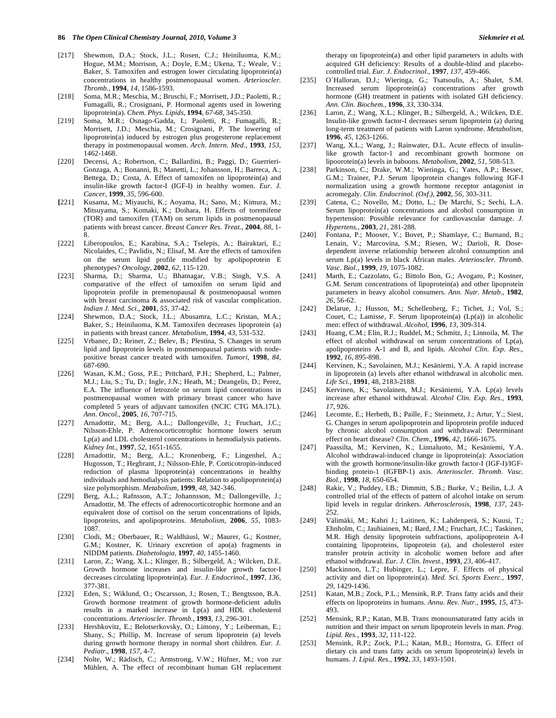- [217] Shewmon, D.A.; Stock, J.L.; Rosen, C.J.; Heiniluoma, K.M.; Hogue, M.M.; Morrison, A.; Doyle, E.M.; Ukena, T.; Weale, V.; Baker, S. Tamoxifen and estrogen lower circulating lipoprotein(a) concentrations in healthy postmenopausal women. *Arterioscler. Thromb.,* **1994**, *14*, 1586-1593.
- [218] Soma, M.R.; Meschia, M.; Bruschi, F.; Morrisett, J.D.; Paoletti, R.; Fumagalli, R.; Crosignani, P. Hormonal agents used in lowering lipoprotein(a). *Chem. Phys. Lipids,* **1994**, *67-68*, 345-350.
- [219] Soma, M.R.; Osnago-Gadda, I.; Paoletti, R.; Fumagalli, R.; Morrisett, J.D.; Meschia, M.; Crosignani, P. The lowering of lipoprotein(a) induced by estrogen plus progesterone replacement therapy in postmenopausal women. *Arch. Intern. Med.,* **1993**, *153*, 1462-1468.
- [220] Decensi, A.; Robertson, C.; Ballardini, B.; Paggi, D.; Guerrieri-Gonzaga, A.; Bonanni, B.; Manetti, L.; Johansson, H.; Barreca, A.; Bettega, D.; Costa, A. Effect of tamoxifen on lipoprotein(a) and insulin-like growth factor-I (IGF-I) in healthy women. *Eur. J. Cancer,* **1999**, *35*, 596-600.
- **[**221] Kusama, M.; Miyauchi, K.; Aoyama, H.; Sano, M.; Kimura, M.; Mitsuyama, S.; Komaki, K.; Doihara, H. Effects of toremifene (TOR) and tamoxifen (TAM) on serum lipids in postmenopausal patients with breast cancer. *Breast Cancer Res. Treat.,* **2004**, *88*, 1- 8.
- [222] Liberopoulos, E.; Karabina, S.A.; Tselepis, A.; Bairaktari, E.; Nicolaides, C.; Pavlidis, N.; Elisaf, M. Are the effects of tamoxifen on the serum lipid profile modified by apolipoprotein E phenotypes? *Oncology,* **2002**, *62*, 115-120.
- [223] Sharma, D.; Sharma, U.; Bhatnagar, V.B.; Singh, V.S. A comparative of the effect of tamoxifen on serum lipid and lipoprotein profile in premenopausal & postmenopausal women with breast carcinoma & associated risk of vascular complication. *Indian J. Med. Sci.,* **2001**, *55*, 37-42.
- [224] Shewmon, D.A.; Stock, J.L.; Abusamra, L.C.; Kristan, M.A.; Baker, S.; Heiniluoma, K.M. Tamoxifen decreases lipoprotein (a) in patients with breast cancer. *Metabolism,* **1994**, *43*, 531-532.
- [225] Vrbanec, D.; Reiner, Z.; Belev, B.; Plestina, S. Changes in serum lipid and lipoprotein levels in postmenopausal patients with nodepositive breast cancer treated with tamoxifen. *Tumori,* **1998**, *84*, 687-690.
- [226] Wasan, K.M.; Goss, P.E.; Pritchard, P.H.; Shepherd, L.; Palmer, M.J.; Liu, S.; Tu, D.; Ingle, J.N.; Heath, M.; Deangelis, D.; Perez, E.A. The influence of letrozole on serum lipid concentrations in postmenopausal women with primary breast cancer who have completed 5 years of adjuvant tamoxifen (NCIC CTG MA.17L). *Ann. Oncol.,* **2005**, *16*, 707-715.
- [227] Arnadottir, M.; Berg, A.L.; Dallongeville, J.; Fruchart, J.C.; Nilsson-Ehle, P. Adrenocorticotrophic hormone lowers serum Lp(a) and LDL cholesterol concentrations in hemodialysis patients. *Kidney Int.,* **1997**, *52*, 1651-1655.
- [228] Arnadottir, M.; Berg, A.L.; Kronenberg, F.; Lingenhel, A.; Hugosson, T.; Hegbrant, J.; Nilsson-Ehle, P. Corticotropin-induced reduction of plasma lipoprotein(a) concentrations in healthy individuals and hemodialysis patients: Relation to apolipoprotein(a) size polymorphism. *Metabolism,* **1999**, *48*, 342-346.
- [229] Berg, A.L.; Rafnsson, A.T.; Johannsson, M.; Dallongeville, J.; Arnadottir, M. The effects of adrenocorticotrophic hormone and an equivalent dose of cortisol on the serum concentrations of lipids, lipoproteins, and apolipoproteins. *Metabolism,* **2006**, *55*, 1083- 1087.
- [230] Clodi, M.; Oberbauer, R.; Waldhäusl, W.; Maurer, G.; Kostner, G.M.; Kostner, K. Urinary excretion of apo(a) fragments in NIDDM patients. *Diabetologia,* **1997**, *40*, 1455-1460.
- [231] Laron, Z.; Wang, X.L.; Klinger, B.; Silbergeld, A.; Wilcken, D.E. Growth hormone increases and insulin-like growth factor-I decreases circulating lipoprotein(a). *Eur. J. Endocrinol.,* **1997**, *136*, 377-381.
- [232] Eden, S.; Wiklund, O.; Oscarsson, J.; Rosen, T.; Bengtsson, B.A. Growth hormone treatment of growth hormone-deficient adults results in a marked increase in Lp(a) and HDL cholesterol concentrations. *Arterioscler. Thromb.,* **1993**, *13*, 296-301.
- [233] Hershkovitz, E.; Belotserkovsky, O.; Limony, Y.; Leiberman, E.; Shany, S.; Phillip, M. Increase of serum lipoprotein (a) levels during growth hormone therapy in normal short children. *Eur. J. Pediatr.,* **1998**, *157*, 4-7.
- [234] Nolte, W.; Rädisch, C.; Armstrong, V.W.; Hüfner, M.; von zur Mühlen, A. The effect of recombinant human GH replacement

therapy on lipoprotein(a) and other lipid parameters in adults with acquired GH deficiency: Results of a double-blind and placebocontrolled trial. *Eur. J. Endocrinol.,* **1997**, *137*, 459-466.

- [235] O´Halloran, D.J.; Wieringa, G.; Tsatsoulis, A.; Shalet, S.M. Increased serum lipoprotein(a) concentrations after growth hormone (GH) treatment in patients with isolated GH deficiency. *Ann. Clin. Biochem.,* **1996**, *33*, 330-334.
- [236] Laron, Z.; Wang, X.L.; Klinger, B.; Silbergeld, A.; Wilcken, D.E. Insulin-like growth factor-I decreases serum lipoprotein (a) during long-term treatment of patients with Laron syndrome. *Metabolism,* **1996**, *45*, 1263-1266.
- [237] Wang, X.L.; Wang, J.; Rainwater, D.L. Acute effects of insulinlike growth factor-1 and recombinant growth hormone on lipoorotein(a) levels in baboons. *Metabolism,* **2002**, *51*, 508-513.
- [238] Parkinson, C.; Drake, W.M.; Wieringa, G.; Yates, A.P.; Besser, G.M.; Trainer, P.J. Serum lipoprotein changes following IGF-I normalization using a growth hormone receptor antagonist in acromegaly. *Clin. Endocrinol. (Oxf.),* **2002**, *56*, 303-311.
- [239] Catena, C.; Novello, M.; Dotto, L.; De Marchi, S.; Sechi, L.A. Serum lipoprotein(a) concentrations and alcohol consumption in hypertension: Possible relevance for cardiovascular damage. *J. Hypertens.,* **2003**, *21*, 281-288.
- [240] Fontana, P.; Mooser, V.; Bovet, P.; Shamlaye, C.; Burnand, B.; Lenain, V.; Marcovina, S.M.; Riesen, W.; Darioli, R. Dosedependent inverse relationship between alcohol consumption and serum Lp(a) levels in black African males. *Arterioscler. Thromb. Vasc. Biol.,* **1999**, *19*, 1075-1082.
- [241] Marth, E.; Cazzolato, G.; Bittolo Bon, G.; Avogaro, P.; Kostner, G.M. Serum concentrations of lipoprotein(a) and other lipoprotein parameters in heavy alcohol consumers. *Ann. Nutr. Metab.,* **1982**, *26*, 56-62.
- [242] Delarue, J.; Husson, M.; Schellenberg, F.; Tichet, J.; Vol, S.; Couet, C.; Lamisse, F. Serum lipoprotein(a) (Lp(a)) in alcoholic men: effect of withdrawal. *Alcohol,* **1996**, *13*, 309-314.
- [243] Huang, C.M.; Elin, R.J.; Ruddel, M.; Schmitz, J.; Linnoila, M. The effect of alcohol withdrawal on serum concentrations of Lp(a), apolipoproteins A-1 and B, and lipids. *Alcohol Clin. Exp. Res.,* **1992**, *16*, 895-898.
- [244] Kervinen, K.; Savolainen, M.J.; Kesäniemi, Y.A. A rapid increase in lipoprotein (a) levels after ethanol withdrawal in alcoholic men. *Life Sci.,* **1991**, 48, 2183-2188.
- [245] Kervinen, K.; Savolainen, M.J.; Kesäniemi, Y.A. Lp(a) levels increase after ethanol withdrawal. *Alcohol Clin. Exp. Res.,* **1993**, *17*, 926.
- [246] Lecomte, E.; Herbeth, B.; Paille, F.; Steinmetz, J.; Artur, Y.; Siest, G. Changes in serum apolipoprotein and lipoprotein profile induced by chronic alcohol consumption and withdrawal: Determinant effect on heart disease? *Clin. Chem.,* **1996**, *42*, 1666-1675.
- [247] Paassilta, M.; Kervinen, K.; Linnaluoto, M.; Kesäniemi, Y.A. Alcohol withdrawal-induced change in lipoprotein(a): Association with the growth hormone/insulin-like growth factor-I (IGF-I)/IGFbinding protein-1 (IGFBP-1) axis. *Arterioscler. Thromb. Vasc. Biol.,* **1998**, *18*, 650-654.
- [248] Rakic, V.; Puddey, I.B.; Dimmitt, S.B.; Burke, V.; Beilin, L.J. A controlled trial of the effects of pattern of alcohol intake on serum lipid levels in regular drinkers. *Atherosclerosis,* **1998**, *137*, 243- 252.
- [249] Välimäki, M.; Kahri J.; Laitinen, K.; Lahdenperä, S.; Kuusi, T.; Ehnholm, C.; Jauhiainen, M.; Bard, J.M.; Fruchart, J.C.; Taskinen, M.R. High density lipoprotein subfractions, apolipoprotein A-I containing lipoproteins, lipoprotein (a), and cholesterol ester transfer protein activity in alcoholic women before and after ethanol withdrawal. *Eur. J. Clin. Invest.,* **1993**, *23*, 406-417.
- [250] Mackinnon, L.T.; Hubinger, L.; Lepre, F. Effects of physical activity and diet on lipoprotein(a). *Med. Sci. Sports Exerc.,* **1997**, *29*, 1429-1436.
- [251] Katan, M.B.; Zock, P.L.; Mensink, R.P. Trans fatty acids and their effects on lipoproteins in humans. *Annu. Rev. Nutr.,* **1995**, *15*, 473- 493.
- [252] Mensink, R.P.; Katan, M.B. Trans monounsaturated fatty acids in nutrition and their impact on serum lipoprotein levels in man. *Prog. Lipid. Res.,* **1993**, *32*, 111-122.
- [253] Mensink, R.P.; Zock, P.L.; Katan, M.B.; Hornstra, G. Effect of dietary cis and trans fatty acids on serum lipoprotein(a) levels in humans. *J. Lipid. Res.,* **1992**, *33*, 1493-1501.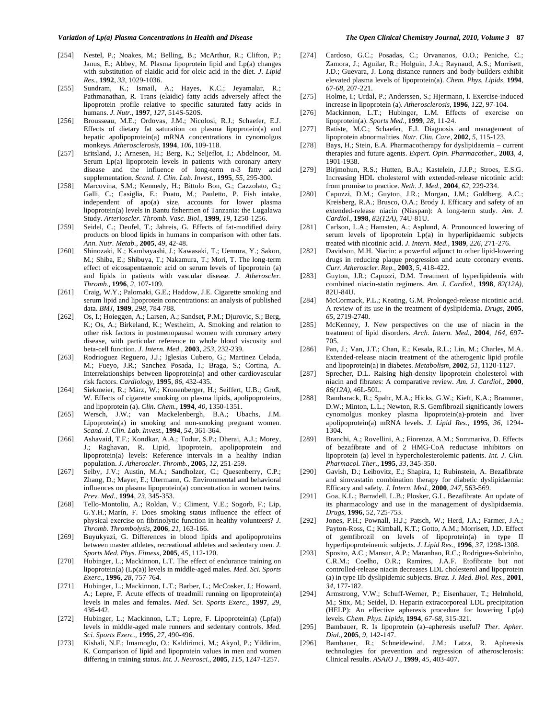- [254] Nestel, P.; Noakes, M.; Belling, B.; McArthur, R.; Clifton, P.; Janus, E.; Abbey, M. Plasma lipoprotein lipid and Lp(a) changes with substitution of elaidic acid for oleic acid in the diet. *J. Lipid Res.,* **1992**, *33*, 1029-1036.
- [255] Sundram, K.; Ismail, A.; Hayes, K.C.; Jeyamalar, R.; Pathmanathan, R. Trans (elaidic) fatty acids adversely affect the lipoprotein profile relative to specific saturated fatty acids in humans. *J. Nutr.,* **1997**, *127*, 514S-520S.
- [256] Brousseau, M.E.; Ordovas, J.M.; Nicolosi, R.J.; Schaefer, E.J. Effects of dietary fat saturation on plasma lipoprotein(a) and hepatic apolipoprotein(a) mRNA concentrations in cynomolgus monkeys. *Atherosclerosis,* **1994**, *106*, 109-118.
- [257] Eritsland, J.; Arnesen, H.; Berg, K.; Seljeflot, I.; Abdelnoor, M. Serum Lp(a) lipoprotein levels in patients with coronary artery disease and the influence of long-term n-3 fatty acid supplementation. *Scand. J. Clin. Lab. Invest.,* **1995**, *55*, 295-300.
- [258] Marcovina, S.M.; Kennedy, H.; Bittolo Bon, G.; Cazzolato, G.; Galli, C.; Casiglia, E.; Puato, M.; Pauletto, P. Fish intake, independent of apo(a) size, accounts for lower plasma lipoprotein(a) levels in Bantu fishermen of Tanzania: the Lugalawa Study. *Arterioscler. Thromb. Vasc. Biol.,* **1999**, *19*, 1250-1256.
- [259] Seidel, C.; Deufel, T.; Jahreis, G. Effects of fat-modified dairy products on blood lipids in humans in comparison with other fats. *Ann. Nutr. Metab.,* **2005**, *49*, 42-48.
- [260] Shinozaki, K.; Kambayashi, J.; Kawasaki, T.; Uemura, Y.; Sakon, M.; Shiba, E.; Shibuya, T.; Nakamura, T.; Mori, T. The long-term effect of eicosapentaenoic acid on serum levels of lipoprotein (a) and lipids in patients with vascular disease. *J. Atheroscler. Thromb.,* **1996**, *2*, 107-109.
- [261] Craig, W.Y.; Palomaki, G.E.; Haddow, J.E. Cigarette smoking and serum lipid and lipoprotein concentrations: an analysis of published data. *BMJ,* **1989**, *298*, 784-788.
- [262] Os, I.; Hoieggen, A.; Larsen, A.; Sandset, P.M.; Djurovic, S.; Berg, K.; Os, A.; Birkeland, K.; Westheim, A. Smoking and relation to other risk factors in postmenopausal women with coronary artery disease, with particular reference to whole blood viscosity and beta-cell function. *J. Intern. Med.,* **2003**, *253*, 232-239.
- [263] Rodrioguez Reguero, J.J.; Iglesias Cubero, G.; Martinez Celada, M.; Fueyo, J.R.; Sanchez Posada, I.; Braga, S.; Cortina, A. Interrelationships between lipoprotein(a) and other cardiovascular risk factors. *Cardiology,* **1995**, *86*, 432-435.
- [264] Siekmeier, R.; März, W.; Kronenberger, H.; Seiffert, U.B.; Groß, W. Effects of cigarette smoking on plasma lipids, apolipoproteins, and lipoprotein (a). *Clin. Chem.,* **1994**, *40*, 1350-1351.
- [265] Wersch, J.W.; van Mackelenbergh, B.A.; Ubachs, J.M. Lipoprotein(a) in smoking and non-smoking pregnant women. *Scand. J. Clin. Lab. Invest.,* **1994**, *54*, 361-364.
- [266] Ashavaid, T.F.; Kondkar, A.A.; Todur, S.P.; Dherai, A.J.; Morey, J.; Raghavan, R. Lipid, lipoprotein, apolipoprotein and lipoprotein(a) levels: Reference intervals in a healthy Indian population. *J. Atheroscler. Thromb.,* **2005**, *12*, 251-259.
- [267] Selby, J.V.; Austin, M.A.; Sandholzer, C.; Quesenberry, C.P.; Zhang, D.; Mayer, E.; Utermann, G. Environmental and behavioral influences on plasma lipoprotein(a) concentration in women twins*. Prev. Med.,* **1994**, *23*, 345-353.
- [268] Tello-Montoliu, A.; Roldan, V.; Climent, V.E.; Sogorb, F.; Lip, G.Y.H.; Marín, F. Does smoking status influence the effect of physical exercise on fibrinolytic function in healthy volunteers? *J. Thromb. Thrombolysis,* **2006**, *21*, 163-166.
- [269] Buyukyazi, G. Differences in blood lipids and apolipoproteins between master athletes, recreational athletes and sedentary men. *J. Sports Med. Phys. Fitness,* **2005**, *45*, 112-120.
- [270] Hubinger, L.; Mackinnon, L.T. The effect of endurance training on lipoprotein(a) (Lp(a)) levels in middle-aged males. *Med. Sci. Sports Exerc.,* **1996**, *28*, 757-764.
- [271] Hubinger, L.; Mackinnon, L.T.; Barber, L.; McCosker, J.; Howard, A.; Lepre, F. Acute effects of treadmill running on lipoprotein(a) levels in males and females. *Med. Sci. Sports Exerc.,* **1997**, *29*, 436-442.
- [272] Hubinger, L.; Mackinnon, L.T.; Lepre, F. Lipoprotein(a) (Lp(a)) levels in middle-aged male runners and sedentary controls. *Med. Sci. Sports Exerc.,* **1995**, *27*, 490-496.
- [273] Kishali, N.F.; Imamoglu, O.; Kaldirimci, M.; Akyol, P.; Yildirim, K. Comparison of lipid and lipoprotein values in men and women differing in training status. *Int. J. Neurosci.,* **2005**, *115*, 1247-1257.
- [274] Cardoso, G.C.; Posadas, C.; Orvananos, O.O.; Peniche, C.; Zamora, J.; Aguilar, R.; Holguin, J.A.; Raynaud, A.S.; Morrisett, J.D.; Guevara, J. Long distance runners and body-builders exhibit elevated plasma levels of lipoprotein(a). *Chem. Phys. Lipids,* **1994**, *67-68*, 207-221.
- [275] Holme, I.; Urdal, P.; Anderssen, S.; Hjermann, I. Exercise-induced increase in lipoprotein (a). *Atherosclerosis,* **1996**, *122*, 97-104.
- [276] Mackinnon, L.T.; Hubinger, L.M. Effects of exercise on lipoprotein(a). *Sports Med.,* **1999**, *28*, 11-24.
- [277] Batiste, M.C.; Schaefer, E.J. Diagnosis and management of lipoprotein abnormalities. *Nutr. Clin. Care,* **2002**, *5*, 115-123.
- [278] Bays, H.; Stein, E.A. Pharmacotherapy for dyslipidaemia current therapies and future agents. *Expert. Opin. Pharmacother.,* **2003**, *4*, 1901-1938.
- [279] Birjmohun, R.S.; Hutten, B.A.; Kastelein, J.J.P.; Stroes, E.S.G. Increasing HDL cholesterol with extended-release nicotinic acid: from promise to practice. *Neth. J. Med.,* **2004**, *62*, 229-234.
- [280] Capuzzi, D.M.; Guyton, J.R.; Morgan, J.M.; Goldberg, A.C.; Kreisberg, R.A.; Brusco, O.A.; Brody J. Efficacy and safety of an extended-release niacin (Niaspan): A long-term study. *Am. J. Cardiol.,* **1998**, *82(12A)*, 74U-81U.
- [281] Carlson, L.A.; Hamsten, A.; Asplund, A. Pronounced lowering of serum levels of lipoprotein Lp(a) in hyperlipidaemic subjects treated with nicotinic acid. *J. Intern. Med.,* **1989**, *226*, 271-276.
- [282] Davidson, M.H. Niacin: a powerful adjunct to other lipid-lowering drugs in reducing plaque progression and acute coronary events. *Curr. Atheroscler. Rep.,* **2003**, *5*, 418-422.
- **[**283] Guyton, J.R.; Capuzzi, D.M. Treatment of hyperlipidemia with combined niacin-statin regimens. *Am. J. Cardiol.,* **1998**, *82(12A)*, 82U-84U.
- [284] McCormack, P.L.; Keating, G.M. Prolonged-release nicotinic acid. A review of its use in the treatment of dyslipidemia. *Drugs,* **2005**, *65*, 2719-2740.
- [285] McKenney, J. New perspectives on the use of niacin in the treatment of lipid disorders. *Arch. Intern. Med.,* **2004**, *164*, 697- 705.
- [286] Pan, J.; Van, J.T.; Chan, E.; Kesala, R.L.; Lin, M.; Charles, M.A. Extended-release niacin treatment of the atherogenic lipid profile and lipoprotein(a) in diabetes. *Metabolism,* **2002**, *51*, 1120-1127.
- [287] Sprecher, D.L. Raising high-density lipoprotein cholesterol with niacin and fibrates: A comparative review. *Am. J. Cardiol.,* **2000**, *86(12A)*, 46L-50L.
- [288] Ramharack, R.; Spahr, M.A.; Hicks, G.W.; Kieft, K.A.; Brammer, D.W.; Minton, L.L.; Newton, R.S. Gemfibrozil significantly lowers cynomolgus monkey plasma lipoprotein(a)-protein and liver apolipoprotein(a) mRNA levels. *J. Lipid Res.,* **1995**, *36*, 1294- 1304.
- [289] Branchi, A.; Rovellini, A.; Fiorenza, A.M.; Sommariva, D. Effects of bezafibrate and of 2 HMG-CoA reductase inhibitors on lipoprotein (a) level in hypercholesterolemic patients. *Int. J. Clin. Pharmacol. Ther.,* **1995**, *33*, 345-350.
- [290] Gavish, D.; Leibovitz, E.; Shapira, I.; Rubinstein, A. Bezafibrate and simvastatin combination therapy for diabetic dyslipidaemia: Efficacy and safety*. J. Intern. Med.,* **2000**, *247*, 563-569.
- [291] Goa, K.L.; Barradell, L.B.; Plosker, G.L. Bezafibrate. An update of its pharmacology and use in the management of dyslipidaemia. *Drugs,* **1996**, 52, 725-753.
- [292] Jones, P.H.; Pownall, H.J.; Patsch, W.; Herd, J.A.; Farmer, J.A.; Payton-Ross, C.; Kimball, K.T.; Gotto, A.M.; Morrisett, J.D. Effect of gemfibrozil on levels of lipoprotein(a) in type II hyperlipoproteinemic subjects. *J. Lipid Res.,* **1996**, *37*, 1298-1308.
- [293] Sposito, A.C.; Mansur, A.P.; Maranhao, R.C.; Rodrigues-Sobrinho, C.R.M.; Coelho, O.R.; Ramires, J.A.F. Etofibrate but not controlled-release niacin decreases LDL cholesterol and lipoprotein (a) in type IIb dyslipidemic subjects. *Braz. J. Med. Biol. Res.,* **2001**, *34*, 177-182.
- [294] Armstrong, V.W.; Schuff-Werner, P.; Eisenhauer, T.; Helmhold, M.; Stix, M.; Seidel, D. Heparin extracorporeal LDL precipitation (HELP): An effective apheresis procedure for lowering Lp(a) levels. *Chem. Phys. Lipids,* **1994**, *67-68*, 315-321.
- [295] Bambauer, R. Is lipoprotein (a)–apheresis useful? *Ther. Apher. Dial.,* **2005**, *9*, 142-147.
- [296] Bambauer, R.; Schneidewind, J.M.; Latza, R. Apheresis technologies for prevention and regression of atherosclerosis: Clinical results. *ASAIO J.,* **1999**, *45*, 403-407.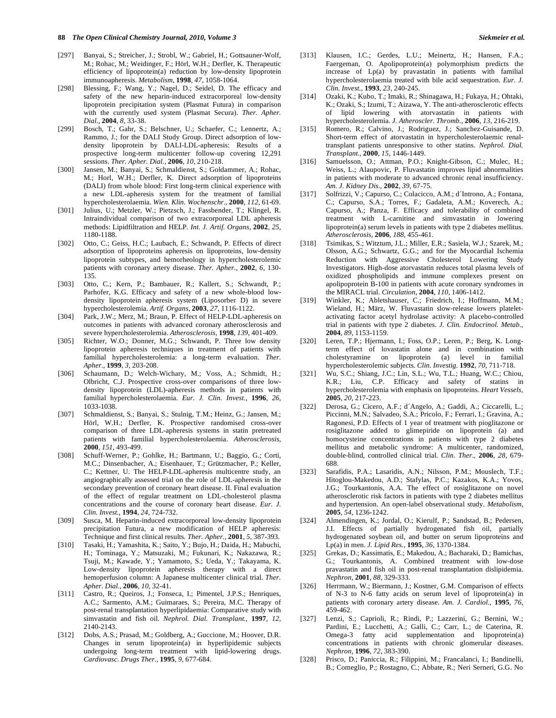- [297] Banyai, S.; Streicher, J.; Strobl, W.; Gabriel, H.; Gottsauner-Wolf, M.; Rohac, M.; Weidinger, F.; Hörl, W.H.; Derfler, K. Therapeutic efficiency of lipoprotein(a) reduction by low-density lipoprotein immunoapheresis. *Metabolism,* **1998**, *47*, 1058-1064.
- [298] Blessing, F.; Wang, Y.; Nagel, D.; Seidel, D. The efficacy and safety of the new heparin-induced extracorporeal low-density lipoprotein precipitation system (Plasmat Futura) in comparison with the currently used system (Plasmat Secura). *Ther. Apher. Dial.,* **2004**, *8*, 33-38.
- [299] Bosch, T.; Gahr, S.; Belschner, U.; Schaefer, C.; Lennertz, A.; Rammo, J.; for the DALI Study Group. Direct adsorption of lowdensity lipoprotein by DALI-LDL-apheresis: Results of a prospective long-term multicenter follow-up covering 12,291 sessions. *Ther. Apher. Dial.,* **2006**, *10*, 210-218.
- [300] Jansen, M.; Banyai, S.; Schmaldienst, S.; Goldammer, A.; Rohac, M.; Horl, W.H.; Derfler, K. Direct adsorption of lipoproteins (DALI) from whole blood: First long-term clinical experience with a new LDL-apheresis system for the treatment of familial hypercholesterolaemia. *Wien. Klin. Wochenschr.,* **2000**, *112*, 61-69.
- [301] Julius, U.; Metzler, W.; Pietzsch, J.; Fassbender, T.; Klingel, R. Intraindividual comparison of two extracorporeal LDL apheresis methods: Lipidfiltration and HELP. *Int. J. Artif. Organs,* **2002**, *25*, 1180-1188.
- [302] Otto, C.; Geiss, H.C.; Laubach, E.; Schwandt, P. Effects of direct adsorption of lipoproteins apheresis on lipoproteins, low-density lipoprotein subtypes, and hemorheology in hypercholesterolemic patients with coronary artery disease. *Ther. Apher.,* **2002**, *6*, 130- 135.
- [303] Otto, C.; Kern, P.; Bambauer, R.; Kallert, S.; Schwandt, P.; Parhofer, K.G. Efficacy and safety of a new whole-blood lowdensity lipoprotein apheresis system (Liposorber D) in severe hypercholesterolemia. *Artif. Organs,* **2003**, *27*, 1116-1122.
- [304] Park, J.W.; Merz, M.; Braun, P. Effect of HELP-LDL-apheresis on outcomes in patients with advanced coronary atherosclerosis and severe hypercholesterolemia. *Atherosclerosis,* **1998**, *139*, 401-409.
- [305] Richter, W.O.; Donner, M.G.; Schwandt, P. Three low density lipoprotein apheresis techniques in treatment of patients with familial hypercholesterolemia: a long-term evaluation. *Ther. Apher.,* **1999**, *3*, 203-208.
- [306] Schaumann, D.; Welch-Wichary, M.; Voss, A.; Schmidt, H.; Olbricht, C.J. Prospective cross-over comparisons of three lowdensity lipoprotein (LDL)-apheresis methods in patients with familial hypercholesterolaemia. *Eur. J. Clin. Invest.,* **1996**, *26*, 1033-1038.
- [307] Schmaldienst, S.; Banyai, S.; Stulnig, T.M.; Heinz, G.; Jansen, M.; Hörl, W.H.; Derfler, K. Prospective randomised cross-over comparison of three LDL-apheresis systems in statin pretreated patients with familial hypercholesterolaemia. *Atherosclerosis,* **2000**, *151*, 493-499.
- [308] Schuff-Werner, P.; Gohlke, H.; Bartmann, U.; Baggio, G.; Corti, M.C.; Dinsenbacher, A.; Eisenhauer, T.; Grützmacher, P.; Keller, C.; Kettner, U. The HELP-LDL-apheresis multicentre study, an angiographically assessed trial on the role of LDL-apheresis in the secondary prevention of coronary heart disease. II. Final evaluation of the effect of regular treatment on LDL-cholesterol plasma concentrations and the course of coronary heart disease. *Eur. J. Clin. Invest.,* **1994**, *24*, 724-732.
- [309] Susca, M. Heparin-induced extracorporeal low-density lipoprotein precipitation Futura, a new modification of HELP apheresis: Technique and first clinical results. *Ther. Apher.,* **2001**, *5*, 387-393.
- [310] Tasaki, H.; Yamashita, K.; Saito, Y.; Bujo, H.; Daida, H.; Mabuchi, H.; Tominaga, Y.; Matsuzaki, M.; Fukunari, K.; Nakazawa, R.; Tsuji, M.; Kawade, Y.; Yamamoto, S.; Ueda, Y.; Takayama, K. Low-density lipoprotein apheresis therapy with a direct hemoperfusion column: A Japanese multicenter clinical trial. *Ther. Apher. Dial.,* **2006**, *10*, 32-41.
- [311] Castro, R.; Queiros, J.; Fonseca, I.; Pimentel, J.P.S.; Henriques, A.C.; Sarmento, A.M.; Guimaraes, S.; Pereira, M.C. Therapy of post-renal transplantation hyperlipidaemia: Comparative study with simvastatin and fish oil. *Nephrol. Dial. Transplant.,* **1997**, *12*, 2140-2143.
- [312] Dobs, A.S.; Prasad, M.; Goldberg, A.; Guccione, M.; Hoover, D.R. Changes in serum lipoprotein(a) in hyperlipidemic subjects undergoing long-term treatment with lipid-lowering drugs. *Cardiovasc. Drugs Ther.,* **1995**, *9*, 677-684.
- [313] Klausen, I.C.; Gerdes, L.U.; Meinertz, H.; Hansen, F.A.; Faergeman, O. Apolipoprotein(a) polymorphism predicts the increase of Lp(a) by pravastatin in patients with familial hypercholesterolaemia treated with bile acid sequestration. *Eur. J. Clin. Invest.,* **1993**, *23*, 240-245.
- [314] Ozaki, K.; Kubo, T.; Imaki, R.; Shinagawa, H.; Fukaya, H.; Ohtaki, K.; Ozaki, S.; Izumi, T.; Aizawa, Y. The anti-atherosclerotic effects of lipid lowering with atorvastatin in patients with hypercholesterolemia. *J. Atheroscler. Thromb.,* **2006**, *13*, 216-219.
- [315] Romero, R.; Calvino, J.; Rodriguez, J.; Sanchez-Guisande, D. Short-term effect of atorvastatin in hypercholesterolaemic renaltransplant patients unresponsive to other statins. *Nephrol. Dial. Transplant.,* **2000**, *15*, 1446-1449.
- [316] Samuelsson, O.; Attman, P.O.; Knight-Gibson, C.; Mulec, H.; Weiss, L.; Alaupovic, P. Fluvastatin improves lipid abnormalities in patients with moderate to advanced chronic renal insufficiency. *Am. J. Kidney Dis.,* **2002**, *39*, 67-75.
- [317] Solfrizzi, V.; Capurso, C.; Colacicco, A.M.; d´Introno, A.; Fontana, C.; Capurso, S.A.; Torres, F.; Gadaleta, A.M.; Koverech, A.; Capurso, A.; Panza, F. Efficacy and tolerability of combined treatment with L-carnitine and simvastatin in lowering lipoprotein(a) serum levels in patients with type 2 diabetes mellitus. *Atherosclerosis,* **2006**, *188*, 455-461.
- [318] Tsimikas, S.; Witztum, J.L.; Miller, E.R.; Sasiela, W.J.; Szarek, M.; Olsson, A.G.; Schwartz, G.G.; and for the Myocardial Ischemia Reduction with Aggressive Cholesterol Lowering Study Investigators. High-dose atorvastatin reduces total plasma levels of oxidized phospholipids and immune complexes present on apolipoprotein B-100 in patients with acute coronary syndromes in the MIRACL trial. *Circulation,* **2004**, *110*, 1406-1412.
- [319] Winkler, K.; Abletshauser, C.; Friedrich, I.; Hoffmann, M.M.; Wieland, H.; März, W. Fluvastatin slow-release lowers plateletactivating factor acetyl hydrolase activity: A placebo-controlled trial in patients with type 2 diabetes. *J. Clin. Endocrinol. Metab.,* **2004**, *89*, 1153-1159.
- [320] Leren, T.P.; Hjermann, I.; Foss, O.P.; Leren, P.; Berg, K. Longterm effect of lovastatin alone and in combination with cholestyramine on lipoprotein (a) level in familial hypercholesterolemic subjects. *Clin. Investig.* **1992**, *70*, 711-718.
- [321] Wu, S.C.; Shiang, J.C.; Lin, S.L.; Wu, T.L.; Huang, W.C.; Chiou, K.R.; Liu, C.P. Efficacy and safety of statins in hypercholesterolemia with emphasis on lipoproteins. *Heart Vessels,* **2005**, *20*, 217-223.
- [322] Derosa, G.; Cicero, A.F.; d´Angelo, A.; Gaddi, A.; Ciccarelli, L.; Piccinni, M.N.; Salvadeo, S.A.; Pricolo, F.; Ferrari, I.; Gravina, A.; Ragonesi, P.D. Effects of 1 year of treatment with pioglitazone or rosiglitazone added to glimepiride on lipoprotein (a) and homocysteine concentrations in patients with type 2 diabetes mellitus and metabolic syndrome: A multicenter, randomized, double-blind, controlled clinical trial. *Clin. Ther.,* **2006**, *28*, 679- 688.
- [323] Sarafidis, P.A.; Lasaridis, A.N.; Nilsson, P.M.; Mouslech, T.F.; Hitoglou-Makedou, A.D.; Stafylas, P.C.; Kazakos, K.A.; Yovos, J.G.; Tourkantonis, A.A. The effect of rosiglitazone on novel atherosclerotic risk factors in patients with type 2 diabetes mellitus and hypertension. An open-label observational study. *Metabolism,* **2005**, *54*, 1236-1242.
- [324] Almendingen, K.; Jordal, O.; Kierulf, P.; Sandstad, B.; Pedersen, J.I. Effects of partially hydrogenated fish oil, partially hydrogenated soybean oil, and butter on serum lipoproteins and Lp(a) in men. *J. Lipid Res.,* **1995**, *36*, 1370-1384.
- [325] Grekas, D.; Kassimatis, E.; Makedou, A.; Bacharaki, D.; Bamichas, G.; Tourkantonis, A. Combined treatment with low-dose pravastatin and fish oil in post-renal transplantation dislipidemia. *Nephron,* **2001**, *88*, 329-333.
- [326] Herrmann, W.; Biermann, J.; Kostner, G.M. Comparison of effects of N-3 to N-6 fatty acids on serum level of lipoprotein(a) in patients with coronary artery disease. *Am. J. Cardiol.,* **1995**, *76*, 459-462.
- [327] Lenzi, S.; Caprioli, R.; Rindi, P.; Lazzerini, G.; Bernini, W.; Pardini, E.; Lucchetti, A.; Galli, C.; Carr, L.; de Caterina, R. Omega-3 fatty acid supplementation and lipoprotein(a) concentrations in patients with chronic glomerular diseases. *Nephron,* **1996**, *72*, 383-390.
- [328] Prisco, D.; Paniccia, R.; Filippini, M.; Francalanci, I.; Bandinelli, B.; Comeglio, P.; Rostagno, C.; Abbate, R.; Neri Serneri, G.G. No